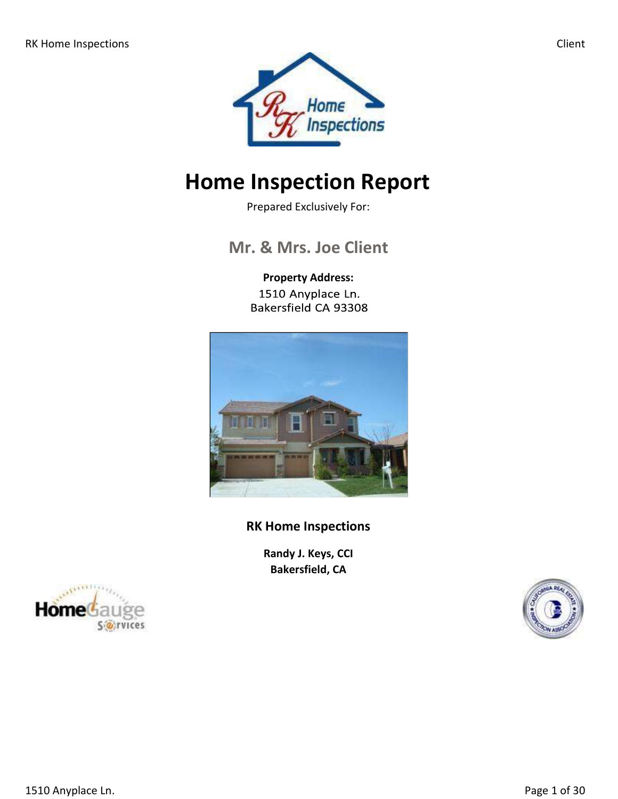

# **Home Inspection Report**

Prepared Exclusively For:

# **Mr. & Mrs. Joe Client**

**Property Address:** 1510 Anyplace Ln. Bakersfield CA 93308



**RK Home Inspections**

**Randy J. Keys, CCI Bakersfield, CA**



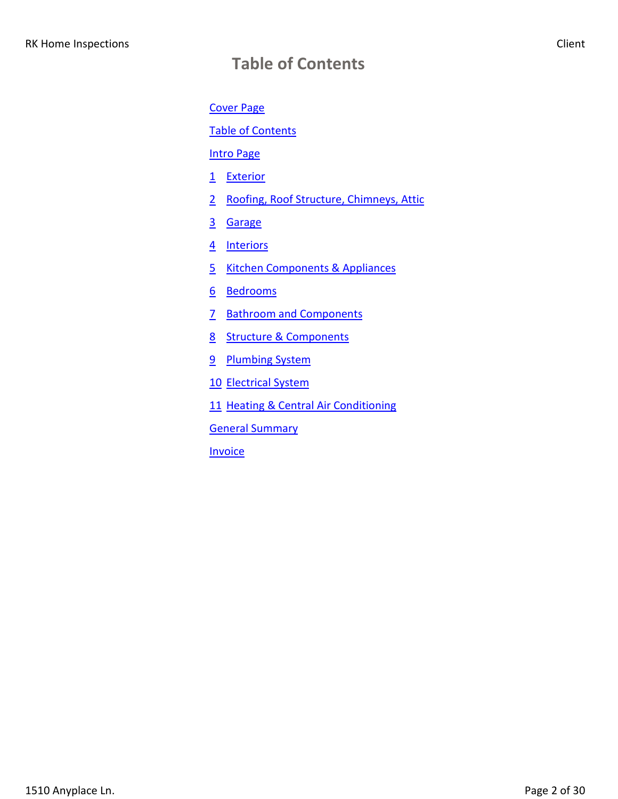# **Table of Contents**

Cover Page

Table of Contents

Intro Page

- 1 Exterior
- 2 Roofing, Roof Structure, Chimneys, Attic
- 3 Garage
- 4 Interiors
- 5 Kitchen Components & Appliances
- 6 Bedrooms
- 7 Bathroom and Components
- 8 Structure & Components
- 9 Plumbing System
- 10 Electrical System
- 11 Heating & Central Air Conditioning

General Summary

**Invoice**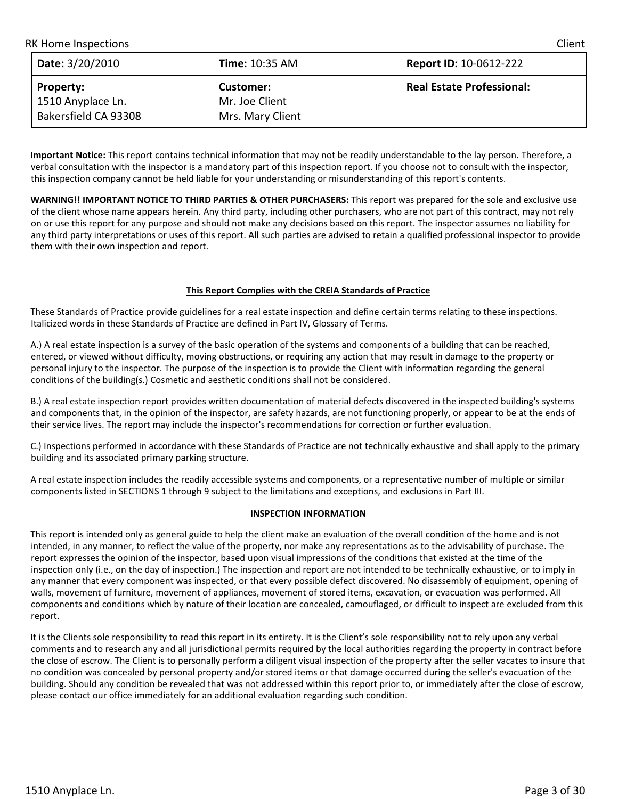| <b>RK Home Inspections</b> |                       | Client                           |
|----------------------------|-----------------------|----------------------------------|
| Date: 3/20/2010            | <b>Time: 10:35 AM</b> | <b>Report ID: 10-0612-222</b>    |
| <b>Property:</b>           | Customer:             | <b>Real Estate Professional:</b> |
| 1510 Anyplace Ln.          | Mr. Joe Client        |                                  |
| Bakersfield CA 93308       | Mrs. Mary Client      |                                  |

**Important Notice:** This report contains technical information that may not be readily understandable to the lay person. Therefore, a verbal consultation with the inspector is a mandatory part of this inspection report. If you choose not to consult with the inspector, this inspection company cannot be held liable for your understanding or misunderstanding of this report's contents.

**WARNING!! IMPORTANT NOTICE TO THIRD PARTIES & OTHER PURCHASERS:** This report was prepared for the sole and exclusive use of the client whose name appears herein. Any third party, including other purchasers, who are not part of this contract, may not rely on or use this report for any purpose and should not make any decisions based on this report. The inspector assumes no liability for any third party interpretations or uses of this report. All such parties are advised to retain a qualified professional inspector to provide them with their own inspection and report.

#### **This Report Complies with the CREIA Standards of Practice**

These Standards of Practice provide guidelines for a real estate inspection and define certain terms relating to these inspections. Italicized words in these Standards of Practice are defined in Part IV, Glossary of Terms.

A.) A real estate inspection is a survey of the basic operation of the systems and components of a building that can be reached, entered, or viewed without difficulty, moving obstructions, or requiring any action that may result in damage to the property or personal injury to the inspector. The purpose of the inspection is to provide the Client with information regarding the general conditions of the building(s.) Cosmetic and aesthetic conditions shall not be considered.

B.) A real estate inspection report provides written documentation of material defects discovered in the inspected building's systems and components that, in the opinion of the inspector, are safety hazards, are not functioning properly, or appear to be at the ends of their service lives. The report may include the inspector's recommendations for correction or further evaluation.

C.) Inspections performed in accordance with these Standards of Practice are not technically exhaustive and shall apply to the primary building and its associated primary parking structure.

A real estate inspection includes the readily accessible systems and components, or a representative number of multiple or similar components listed in SECTIONS 1 through 9 subject to the limitations and exceptions, and exclusions in Part III.

#### **INSPECTION INFORMATION**

This report is intended only as general guide to help the client make an evaluation of the overall condition of the home and is not intended, in any manner, to reflect the value of the property, nor make any representations as to the advisability of purchase. The report expresses the opinion of the inspector, based upon visual impressions of the conditions that existed at the time of the inspection only (i.e., on the day of inspection.) The inspection and report are not intended to be technically exhaustive, or to imply in any manner that every component was inspected, or that every possible defect discovered. No disassembly of equipment, opening of walls, movement of furniture, movement of appliances, movement of stored items, excavation, or evacuation was performed. All components and conditions which by nature of their location are concealed, camouflaged, or difficult to inspect are excluded from this report.

It is the Clients sole responsibility to read this report in its entirety. It is the Client's sole responsibility not to rely upon any verbal comments and to research any and all jurisdictional permits required by the local authorities regarding the property in contract before the close of escrow. The Client is to personally perform a diligent visual inspection of the property after the seller vacates to insure that no condition was concealed by personal property and/or stored items or that damage occurred during the seller's evacuation of the building. Should any condition be revealed that was not addressed within this report prior to, or immediately after the close of escrow, please contact our office immediately for an additional evaluation regarding such condition.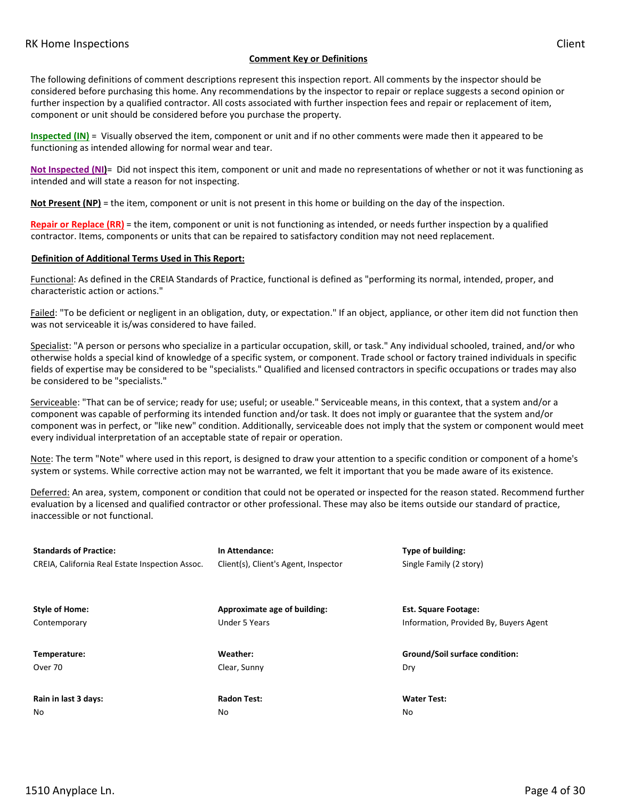#### **Comment Key or Definitions**

The following definitions of comment descriptions represent this inspection report. All comments by the inspector should be considered before purchasing this home. Any recommendations by the inspector to repair or replace suggests a second opinion or further inspection by a qualified contractor. All costs associated with further inspection fees and repair or replacement of item, component or unit should be considered before you purchase the property.

**Inspected (IN)** = Visually observed the item, component or unit and if no other comments were made then it appeared to be functioning as intended allowing for normal wear and tear.

**Not Inspected (NI)**= Did not inspect this item, component or unit and made no representations of whether or not it was functioning as intended and will state a reason for not inspecting.

**Not Present (NP)** = the item, component or unit is not present in this home or building on the day of the inspection.

**Repair or Replace (RR)** = the item, component or unit is not functioning as intended, or needs further inspection by a qualified contractor. Items, components or units that can be repaired to satisfactory condition may not need replacement.

#### **Definition of Additional Terms Used in This Report:**

Functional: As defined in the CREIA Standards of Practice, functional is defined as "performing its normal, intended, proper, and characteristic action or actions."

Failed: "To be deficient or negligent in an obligation, duty, or expectation." If an object, appliance, or other item did not function then was not serviceable it is/was considered to have failed.

Specialist: "A person or persons who specialize in a particular occupation, skill, or task." Any individual schooled, trained, and/or who otherwise holds a special kind of knowledge of a specific system, or component. Trade school or factory trained individuals in specific fields of expertise may be considered to be "specialists." Qualified and licensed contractors in specific occupations or trades may also be considered to be "specialists."

Serviceable: "That can be of service; ready for use; useful; or useable." Serviceable means, in this context, that a system and/or a component was capable of performing its intended function and/or task. It does not imply or guarantee that the system and/or component was in perfect, or "like new" condition. Additionally, serviceable does not imply that the system or component would meet every individual interpretation of an acceptable state of repair or operation.

Note: The term "Note" where used in this report, is designed to draw your attention to a specific condition or component of a home's system or systems. While corrective action may not be warranted, we felt it important that you be made aware of its existence.

Deferred: An area, system, component or condition that could not be operated or inspected for the reason stated. Recommend further evaluation by a licensed and qualified contractor or other professional. These may also be items outside our standard of practice, inaccessible or not functional.

| <b>Standards of Practice:</b>                   | In Attendance:                       | Type of building:                      |
|-------------------------------------------------|--------------------------------------|----------------------------------------|
| CREIA, California Real Estate Inspection Assoc. | Client(s), Client's Agent, Inspector | Single Family (2 story)                |
| <b>Style of Home:</b>                           | Approximate age of building:         | <b>Est. Square Footage:</b>            |
| Contemporary                                    | Under 5 Years                        | Information, Provided By, Buyers Agent |
| Temperature:                                    | Weather:                             | Ground/Soil surface condition:         |
| Over 70                                         | Clear, Sunny                         | Dry                                    |
| Rain in last 3 days:                            | <b>Radon Test:</b>                   | <b>Water Test:</b>                     |
| No                                              | No                                   | No                                     |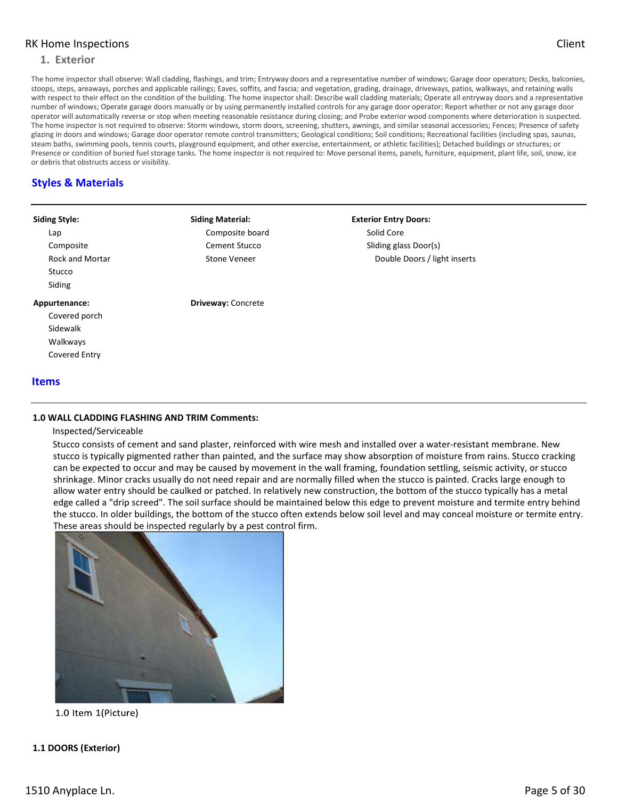#### **1. Exterior**

The home inspector shall observe: Wall cladding, flashings, and trim; Entryway doors and a representative number of windows; Garage door operators; Decks, balconies, stoops, steps, areaways, porches and applicable railings; Eaves, soffits, and fascia; and vegetation, grading, drainage, driveways, patios, walkways, and retaining walls with respect to their effect on the condition of the building. The home inspector shall: Describe wall cladding materials; Operate all entryway doors and a representative number of windows; Operate garage doors manually or by using permanently installed controls for any garage door operator; Report whether or not any garage door operator will automatically reverse or stop when meeting reasonable resistance during closing; and Probe exterior wood components where deterioration is suspected. The home inspector is not required to observe: Storm windows, storm doors, screening, shutters, awnings, and similar seasonal accessories; Fences; Presence of safety glazing in doors and windows; Garage door operator remote control transmitters; Geological conditions; Soil conditions; Recreational facilities (including spas, saunas, steam baths, swimming pools, tennis courts, playground equipment, and other exercise, entertainment, or athletic facilities); Detached buildings or structures; or Presence or condition of buried fuel storage tanks. The home inspector is not required to: Move personal items, panels, furniture, equipment, plant life, soil, snow, ice or debris that obstructs access or visibility.

# **Styles & Materials**

| <b>Siding Style:</b>   | <b>Siding Material:</b>   | <b>Exterior Entry Doors:</b> |
|------------------------|---------------------------|------------------------------|
| Lap                    | Composite board           | Solid Core                   |
| Composite              | Cement Stucco             | Sliding glass Door(s)        |
| <b>Rock and Mortar</b> | <b>Stone Veneer</b>       | Double Doors / light inserts |
| Stucco                 |                           |                              |
| Siding                 |                           |                              |
| Appurtenance:          | <b>Driveway: Concrete</b> |                              |
| Covered porch          |                           |                              |
| Sidewalk               |                           |                              |
| Walkways               |                           |                              |
| Covered Entry          |                           |                              |
| <b>Items</b>           |                           |                              |

#### **1.0 WALL CLADDING FLASHING AND TRIM Comments:**

#### Inspected/Serviceable

Stucco consists of cement and sand plaster, reinforced with wire mesh and installed over a water-resistant membrane. New stucco is typically pigmented rather than painted, and the surface may show absorption of moisture from rains. Stucco cracking can be expected to occur and may be caused by movement in the wall framing, foundation settling, seismic activity, or stucco shrinkage. Minor cracks usually do not need repair and are normally filled when the stucco is painted. Cracks large enough to allow water entry should be caulked or patched. In relatively new construction, the bottom of the stucco typically has a metal edge called a "drip screed". The soil surface should be maintained below this edge to prevent moisture and termite entry behind the stucco. In older buildings, the bottom of the stucco often extends below soil level and may conceal moisture or termite entry. These areas should be inspected regularly by a pest control firm.



1.0 Item 1(Picture)

#### **1.1 DOORS (Exterior)**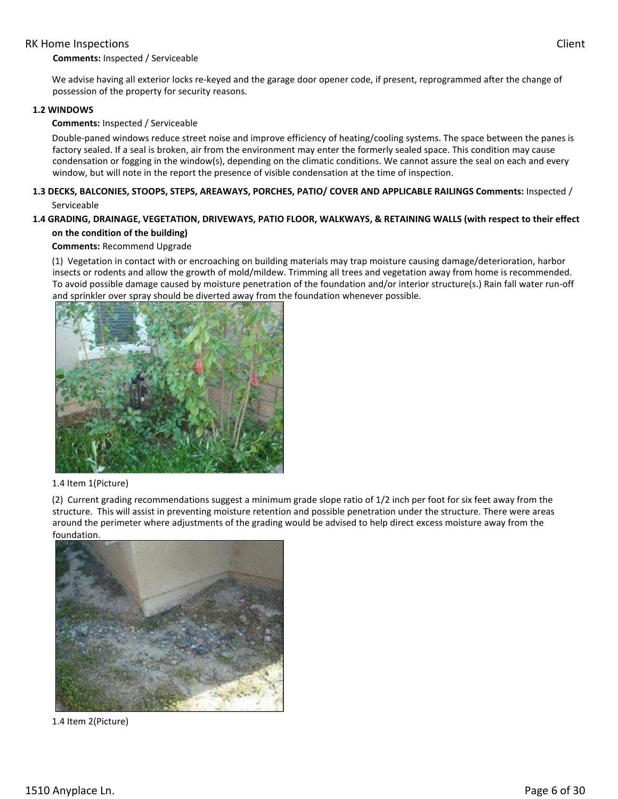#### **Comments:** Inspected / Serviceable

We advise having all exterior locks re-keyed and the garage door opener code, if present, reprogrammed after the change of possession of the property for security reasons.

#### **1.2 WINDOWS**

#### **Comments:** Inspected / Serviceable

Double-paned windows reduce street noise and improve efficiency of heating/cooling systems. The space between the panes is factory sealed. If a seal is broken, air from the environment may enter the formerly sealed space. This condition may cause condensation or fogging in the window(s), depending on the climatic conditions. We cannot assure the seal on each and every window, but will note in the report the presence of visible condensation at the time of inspection.

#### **1.3 DECKS, BALCONIES, STOOPS, STEPS, AREAWAYS, PORCHES, PATIO/ COVER AND APPLICABLE RAILINGS Comments:** Inspected / Serviceable

# **1.4 GRADING, DRAINAGE, VEGETATION, DRIVEWAYS, PATIO FLOOR, WALKWAYS, & RETAINING WALLS (with respect to their effect on the condition of the building)**

#### **Comments:** Recommend Upgrade

(1) Vegetation in contact with or encroaching on building materials may trap moisture causing damage/deterioration, harbor insects or rodents and allow the growth of mold/mildew. Trimming all trees and vegetation away from home is recommended. To avoid possible damage caused by moisture penetration of the foundation and/or interior structure(s.) Rain fall water run-off and sprinkler over spray should be diverted away from the foundation whenever possible.



#### 1.4 Item 1(Picture)

(2) Current grading recommendations suggest a minimum grade slope ratio of 1/2 inch per foot for six feet away from the structure. This will assist in preventing moisture retention and possible penetration under the structure. There were areas around the perimeter where adjustments of the grading would be advised to help direct excess moisture away from the foundation.



1.4 Item 2(Picture)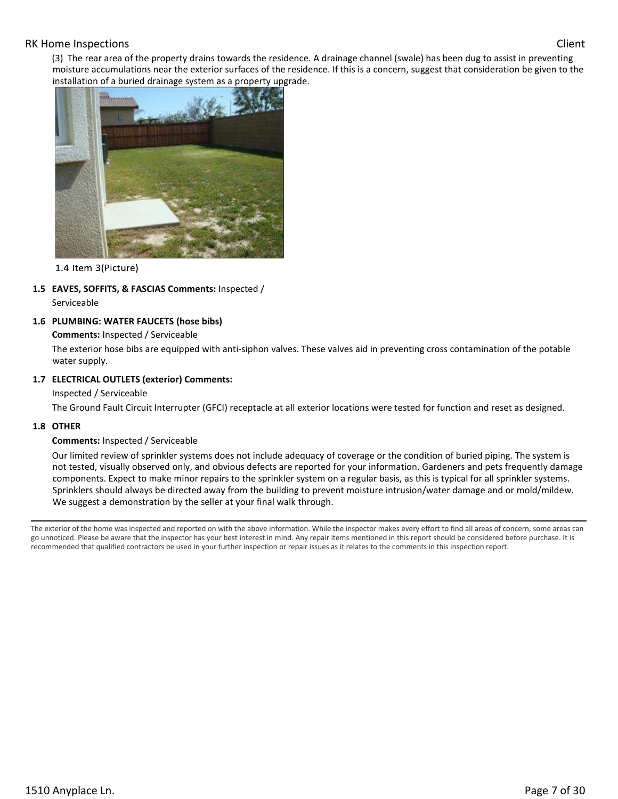(3) The rear area of the property drains towards the residence. A drainage channel (swale) has been dug to assist in preventing moisture accumulations near the exterior surfaces of the residence. If this is a concern, suggest that consideration be given to the installation of a buried drainage system as a property upgrade.



1.4 Item 3(Picture)

**1.5 EAVES, SOFFITS, & FASCIAS Comments:** Inspected /

Serviceable

## **1.6 PLUMBING: WATER FAUCETS (hose bibs)**

#### **Comments:** Inspected / Serviceable

The exterior hose bibs are equipped with anti-siphon valves. These valves aid in preventing cross contamination of the potable water supply.

### **1.7 ELECTRICAL OUTLETS (exterior) Comments:**

Inspected / Serviceable

The Ground Fault Circuit Interrupter (GFCI) receptacle at all exterior locations were tested for function and reset as designed.

#### **1.8 OTHER**

#### **Comments:** Inspected / Serviceable

Our limited review of sprinkler systems does not include adequacy of coverage or the condition of buried piping. The system is not tested, visually observed only, and obvious defects are reported for your information. Gardeners and pets frequently damage components. Expect to make minor repairs to the sprinkler system on a regular basis, as this is typical for all sprinkler systems. Sprinklers should always be directed away from the building to prevent moisture intrusion/water damage and or mold/mildew. We suggest a demonstration by the seller at your final walk through.

The exterior of the home was inspected and reported on with the above information. While the inspector makes every effort to find all areas of concern, some areas can go unnoticed. Please be aware that the inspector has your best interest in mind. Any repair items mentioned in this report should be considered before purchase. It is recommended that qualified contractors be used in your further inspection or repair issues as it relates to the comments in this inspection report.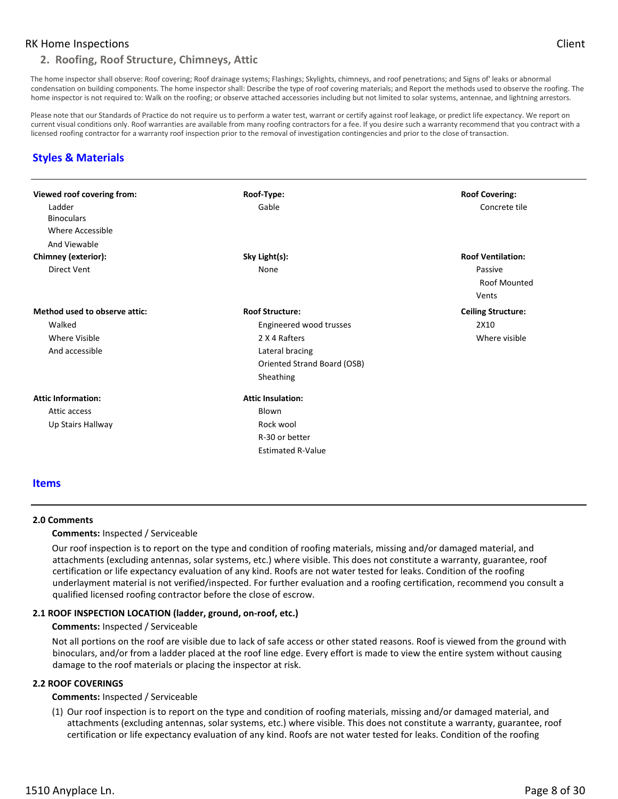### **2. Roofing, Roof Structure, Chimneys, Attic**

The home inspector shall observe: Roof covering; Roof drainage systems; Flashings; Skylights, chimneys, and roof penetrations; and Signs of' leaks or abnormal condensation on building components. The home inspector shall: Describe the type of roof covering materials; and Report the methods used to observe the roofing. The home inspector is not required to: Walk on the roofing; or observe attached accessories including but not limited to solar systems, antennae, and lightning arrestors.

Please note that our Standards of Practice do not require us to perform a water test, warrant or certify against roof leakage, or predict life expectancy. We report on current visual conditions only. Roof warranties are available from many roofing contractors for a fee. If you desire such a warranty recommend that you contract with a licensed roofing contractor for a warranty roof inspection prior to the removal of investigation contingencies and prior to the close of transaction.

# **Styles & Materials**

| Viewed roof covering from:    | Roof-Type:                  | <b>Roof Covering:</b>     |
|-------------------------------|-----------------------------|---------------------------|
| Ladder                        | Gable                       | Concrete tile             |
| <b>Binoculars</b>             |                             |                           |
| Where Accessible              |                             |                           |
| And Viewable                  |                             |                           |
| Chimney (exterior):           | Sky Light(s):               | <b>Roof Ventilation:</b>  |
| Direct Vent                   | None                        | Passive                   |
|                               |                             | <b>Roof Mounted</b>       |
|                               |                             | Vents                     |
| Method used to observe attic: | <b>Roof Structure:</b>      | <b>Ceiling Structure:</b> |
| Walked                        | Engineered wood trusses     | 2X10                      |
| <b>Where Visible</b>          | 2 X 4 Rafters               | Where visible             |
| And accessible                | Lateral bracing             |                           |
|                               | Oriented Strand Board (OSB) |                           |
|                               | Sheathing                   |                           |
| <b>Attic Information:</b>     | <b>Attic Insulation:</b>    |                           |
| Attic access                  | Blown                       |                           |
| Up Stairs Hallway             | Rock wool                   |                           |
|                               | R-30 or better              |                           |
|                               | <b>Estimated R-Value</b>    |                           |

#### **Items**

#### **2.0 Comments**

#### **Comments:** Inspected / Serviceable

Our roof inspection is to report on the type and condition of roofing materials, missing and/or damaged material, and attachments (excluding antennas, solar systems, etc.) where visible. This does not constitute a warranty, guarantee, roof certification or life expectancy evaluation of any kind. Roofs are not water tested for leaks. Condition of the roofing underlayment material is not verified/inspected. For further evaluation and a roofing certification, recommend you consult a qualified licensed roofing contractor before the close of escrow.

#### **2.1 ROOF INSPECTION LOCATION (ladder, ground, on-roof, etc.)**

#### **Comments:** Inspected / Serviceable

Not all portions on the roof are visible due to lack of safe access or other stated reasons. Roof is viewed from the ground with binoculars, and/or from a ladder placed at the roof line edge. Every effort is made to view the entire system without causing damage to the roof materials or placing the inspector at risk.

#### **2.2 ROOF COVERINGS**

#### **Comments:** Inspected / Serviceable

(1) Our roof inspection is to report on the type and condition of roofing materials, missing and/or damaged material, and attachments (excluding antennas, solar systems, etc.) where visible. This does not constitute a warranty, guarantee, roof certification or life expectancy evaluation of any kind. Roofs are not water tested for leaks. Condition of the roofing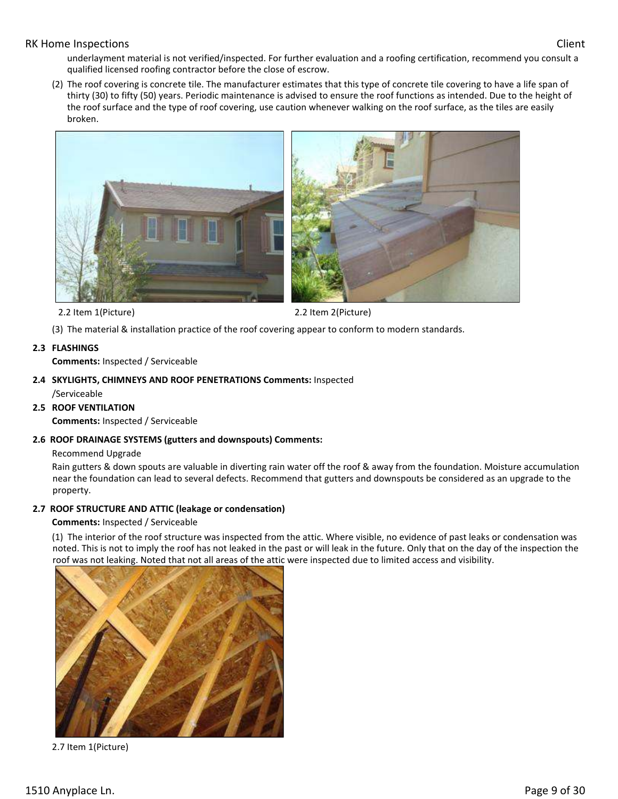underlayment material is not verified/inspected. For further evaluation and a roofing certification, recommend you consult a qualified licensed roofing contractor before the close of escrow.

(2) The roof covering is concrete tile. The manufacturer estimates that this type of concrete tile covering to have a life span of thirty (30) to fifty (50) years. Periodic maintenance is advised to ensure the roof functions as intended. Due to the height of the roof surface and the type of roof covering, use caution whenever walking on the roof surface, as the tiles are easily broken.





2.2 Item 1(Picture) 2.2 Item 2(Picture)

(3) The material & installation practice of the roof covering appear to conform to modern standards.

# **2.3 FLASHINGS**

**Comments:** Inspected / Serviceable

**2.4 SKYLIGHTS, CHIMNEYS AND ROOF PENETRATIONS Comments:** Inspected /Serviceable

# **2.5 ROOF VENTILATION**

**Comments:** Inspected / Serviceable

# **2.6 ROOF DRAINAGE SYSTEMS (gutters and downspouts) Comments:**

#### Recommend Upgrade

Rain gutters & down spouts are valuable in diverting rain water off the roof & away from the foundation. Moisture accumulation near the foundation can lead to several defects. Recommend that gutters and downspouts be considered as an upgrade to the property.

# **2.7 ROOF STRUCTURE AND ATTIC (leakage or condensation)**

#### **Comments:** Inspected / Serviceable

(1) The interior of the roof structure was inspected from the attic. Where visible, no evidence of past leaks or condensation was noted. This is not to imply the roof has not leaked in the past or will leak in the future. Only that on the day of the inspection the roof was not leaking. Noted that not all areas of the attic were inspected due to limited access and visibility.



2.7 Item 1(Picture)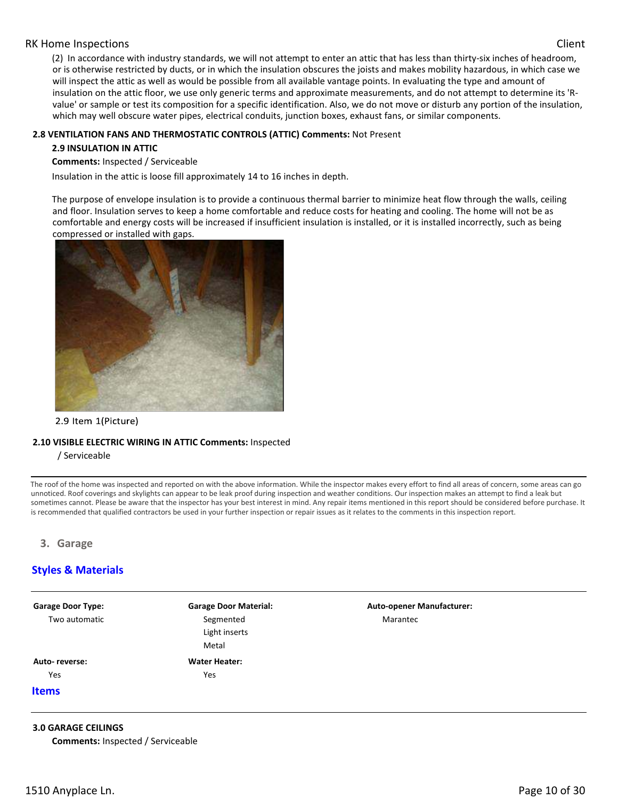(2) In accordance with industry standards, we will not attempt to enter an attic that has less than thirty-six inches of headroom, or is otherwise restricted by ducts, or in which the insulation obscures the joists and makes mobility hazardous, in which case we will inspect the attic as well as would be possible from all available vantage points. In evaluating the type and amount of insulation on the attic floor, we use only generic terms and approximate measurements, and do not attempt to determine its 'Rvalue' or sample or test its composition for a specific identification. Also, we do not move or disturb any portion of the insulation, which may well obscure water pipes, electrical conduits, junction boxes, exhaust fans, or similar components.

#### **2.8 VENTILATION FANS AND THERMOSTATIC CONTROLS (ATTIC) Comments:** Not Present

#### **2.9 INSULATION IN ATTIC**

**Comments:** Inspected / Serviceable

Insulation in the attic is loose fill approximately 14 to 16 inches in depth.

The purpose of envelope insulation is to provide a continuous thermal barrier to minimize heat flow through the walls, ceiling and floor. Insulation serves to keep a home comfortable and reduce costs for heating and cooling. The home will not be as comfortable and energy costs will be increased if insufficient insulation is installed, or it is installed incorrectly, such as being compressed or installed with gaps.



#### 2.9 Item 1(Picture)

#### **2.10 VISIBLE ELECTRIC WIRING IN ATTIC Comments:** Inspected

/ Serviceable

The roof of the home was inspected and reported on with the above information. While the inspector makes every effort to find all areas of concern, some areas can go unnoticed. Roof coverings and skylights can appear to be leak proof during inspection and weather conditions. Our inspection makes an attempt to find a leak but sometimes cannot. Please be aware that the inspector has your best interest in mind. Any repair items mentioned in this report should be considered before purchase. It is recommended that qualified contractors be used in your further inspection or repair issues as it relates to the comments in this inspection report.

#### **3. Garage**

# **Styles & Materials**

| <b>Garage Door Material:</b> | <b>Auto-opener Manufacturer:</b> |  |
|------------------------------|----------------------------------|--|
| Segmented                    | Marantec                         |  |
| Light inserts                |                                  |  |
| Metal                        |                                  |  |
| <b>Water Heater:</b>         |                                  |  |
| Yes                          |                                  |  |
|                              |                                  |  |
|                              |                                  |  |
|                              |                                  |  |

#### **3.0 GARAGE CEILINGS**

**Comments:** Inspected / Serviceable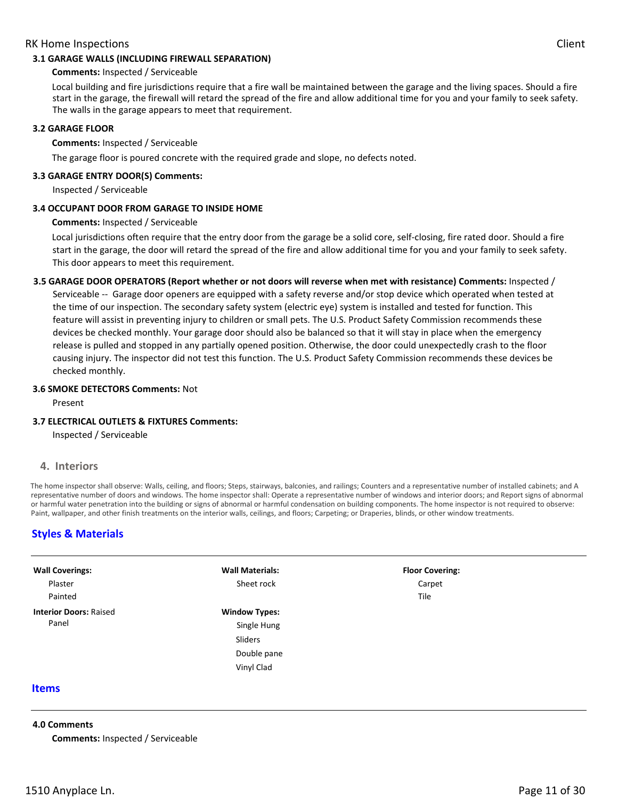#### **3.1 GARAGE WALLS (INCLUDING FIREWALL SEPARATION)**

#### **Comments:** Inspected / Serviceable

Local building and fire jurisdictions require that a fire wall be maintained between the garage and the living spaces. Should a fire start in the garage, the firewall will retard the spread of the fire and allow additional time for you and your family to seek safety. The walls in the garage appears to meet that requirement.

#### **3.2 GARAGE FLOOR**

#### **Comments:** Inspected / Serviceable

The garage floor is poured concrete with the required grade and slope, no defects noted.

#### **3.3 GARAGE ENTRY DOOR(S) Comments:**

Inspected / Serviceable

#### **3.4 OCCUPANT DOOR FROM GARAGE TO INSIDE HOME**

#### **Comments:** Inspected / Serviceable

Local jurisdictions often require that the entry door from the garage be a solid core, self-closing, fire rated door. Should a fire start in the garage, the door will retard the spread of the fire and allow additional time for you and your family to seek safety. This door appears to meet this requirement.

# **3.5 GARAGE DOOR OPERATORS (Report whether or not doors will reverse when met with resistance) Comments:** Inspected / Serviceable -- Garage door openers are equipped with a safety reverse and/or stop device which operated when tested at the time of our inspection. The secondary safety system (electric eye) system is installed and tested for function. This feature will assist in preventing injury to children or small pets. The U.S. Product Safety Commission recommends these devices be checked monthly. Your garage door should also be balanced so that it will stay in place when the emergency release is pulled and stopped in any partially opened position. Otherwise, the door could unexpectedly crash to the floor causing injury. The inspector did not test this function. The U.S. Product Safety Commission recommends these devices be checked monthly.

#### **3.6 SMOKE DETECTORS Comments:** Not

Present

#### **3.7 ELECTRICAL OUTLETS & FIXTURES Comments:**

Inspected / Serviceable

#### **4. Interiors**

The home inspector shall observe: Walls, ceiling, and floors; Steps, stairways, balconies, and railings; Counters and a representative number of installed cabinets; and A representative number of doors and windows. The home inspector shall: Operate a representative number of windows and interior doors; and Report signs of abnormal or harmful water penetration into the building or signs of abnormal or harmful condensation on building components. The home inspector is not required to observe: Paint, wallpaper, and other finish treatments on the interior walls, ceilings, and floors; Carpeting; or Draperies, blinds, or other window treatments.

# **Styles & Materials**

| <b>Wall Coverings:</b>        | <b>Wall Materials:</b> | <b>Floor Covering:</b> |  |
|-------------------------------|------------------------|------------------------|--|
| Plaster                       | Sheet rock             | Carpet                 |  |
| Painted                       |                        | Tile                   |  |
| <b>Interior Doors: Raised</b> | <b>Window Types:</b>   |                        |  |
| Panel                         | Single Hung            |                        |  |
|                               | Sliders                |                        |  |
|                               | Double pane            |                        |  |
|                               | Vinyl Clad             |                        |  |
| <b>Items</b>                  |                        |                        |  |

#### **4.0 Comments**

**Comments:** Inspected / Serviceable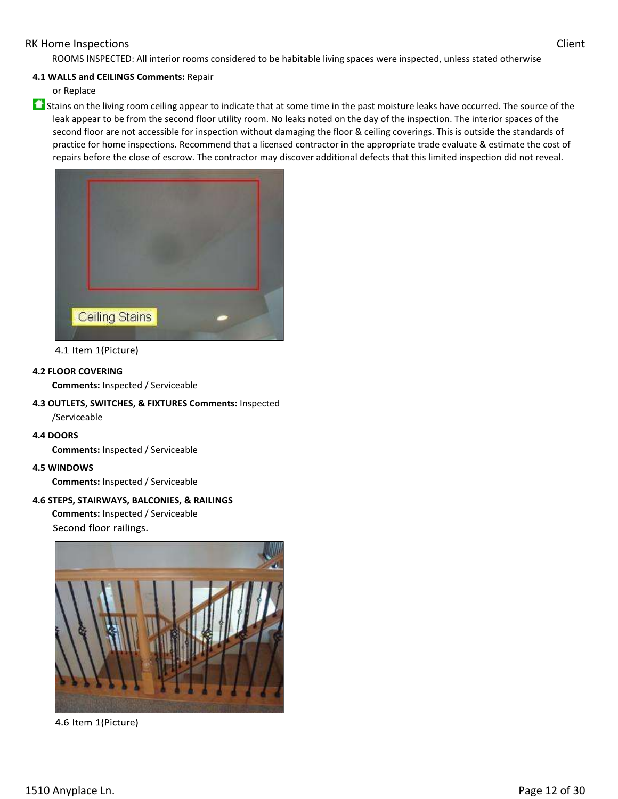ROOMS INSPECTED: All interior rooms considered to be habitable living spaces were inspected, unless stated otherwise

#### **4.1 WALLS and CEILINGS Comments:** Repair

or Replace

 $\bullet$  Stains on the living room ceiling appear to indicate that at some time in the past moisture leaks have occurred. The source of the leak appear to be from the second floor utility room. No leaks noted on the day of the inspection. The interior spaces of the second floor are not accessible for inspection without damaging the floor & ceiling coverings. This is outside the standards of practice for home inspections. Recommend that a licensed contractor in the appropriate trade evaluate & estimate the cost of repairs before the close of escrow. The contractor may discover additional defects that this limited inspection did not reveal.



4.1 Item 1(Picture)

#### **4.2 FLOOR COVERING**

**Comments:** Inspected / Serviceable

- **4.3 OUTLETS, SWITCHES, & FIXTURES Comments:** Inspected /Serviceable
- **4.4 DOORS**

**Comments:** Inspected / Serviceable

**4.5 WINDOWS** 

**Comments:** Inspected / Serviceable

#### **4.6 STEPS, STAIRWAYS, BALCONIES, & RAILINGS**

**Comments:** Inspected / Serviceable Second floor railings.



4.6 Item 1(Picture)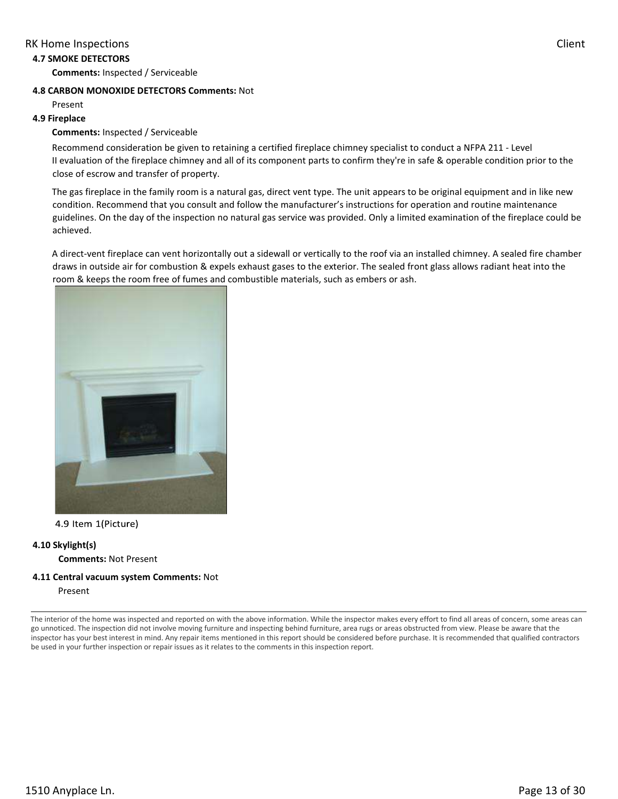#### **4.7 SMOKE DETECTORS**

**Comments:** Inspected / Serviceable

#### **4.8 CARBON MONOXIDE DETECTORS Comments:** Not

Present

#### **4.9 Fireplace**

#### **Comments:** Inspected / Serviceable

Recommend consideration be given to retaining a certified fireplace chimney specialist to conduct a NFPA 211 - Level II evaluation of the fireplace chimney and all of its component parts to confirm they're in safe & operable condition prior to the close of escrow and transfer of property.

The gas fireplace in the family room is a natural gas, direct vent type. The unit appears to be original equipment and in like new condition. Recommend that you consult and follow the manufacturer's instructions for operation and routine maintenance guidelines. On the day of the inspection no natural gas service was provided. Only a limited examination of the fireplace could be achieved.

A direct-vent fireplace can vent horizontally out a sidewall or vertically to the roof via an installed chimney. A sealed fire chamber draws in outside air for combustion & expels exhaust gases to the exterior. The sealed front glass allows radiant heat into the room & keeps the room free of fumes and combustible materials, such as embers or ash.



#### 4.9 Item 1(Picture)

#### **4.10 Skylight(s)**

**Comments:** Not Present

#### **4.11 Central vacuum system Comments:** Not

Present

The interior of the home was inspected and reported on with the above information. While the inspector makes every effort to find all areas of concern, some areas can go unnoticed. The inspection did not involve moving furniture and inspecting behind furniture, area rugs or areas obstructed from view. Please be aware that the inspector has your best interest in mind. Any repair items mentioned in this report should be considered before purchase. It is recommended that qualified contractors be used in your further inspection or repair issues as it relates to the comments in this inspection report.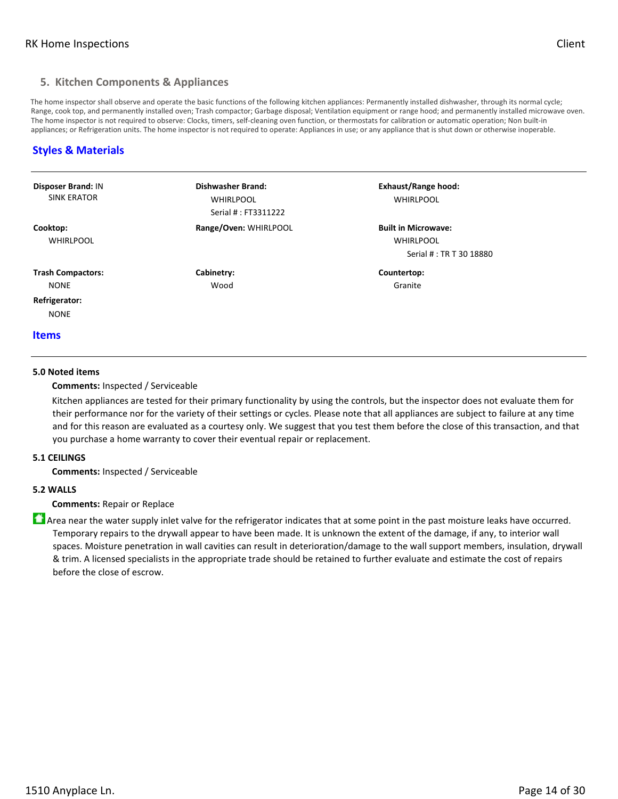# **5. Kitchen Components & Appliances**

The home inspector shall observe and operate the basic functions of the following kitchen appliances: Permanently installed dishwasher, through its normal cycle; Range, cook top, and permanently installed oven; Trash compactor; Garbage disposal; Ventilation equipment or range hood; and permanently installed microwave oven. The home inspector is not required to observe: Clocks, timers, self-cleaning oven function, or thermostats for calibration or automatic operation; Non built-in appliances; or Refrigeration units. The home inspector is not required to operate: Appliances in use; or any appliance that is shut down or otherwise inoperable.

# **Styles & Materials**

| <b>Disposer Brand: IN</b><br><b>SINK ERATOR</b>          | Dishwasher Brand:<br><b>WHIRLPOOL</b><br>Serial #: FT3311222 | <b>Exhaust/Range hood:</b><br><b>WHIRLPOOL</b>                            |  |
|----------------------------------------------------------|--------------------------------------------------------------|---------------------------------------------------------------------------|--|
| Cooktop:<br><b>WHIRLPOOL</b>                             | Range/Oven: WHIRLPOOL                                        | <b>Built in Microwave:</b><br><b>WHIRLPOOL</b><br>Serial #: TR T 30 18880 |  |
| <b>Trash Compactors:</b><br><b>NONE</b><br>Refrigerator: | Cabinetry:<br>Wood                                           | Countertop:<br>Granite                                                    |  |
| <b>NONE</b><br><b>Items</b>                              |                                                              |                                                                           |  |

#### **5.0 Noted items**

#### **Comments:** Inspected / Serviceable

Kitchen appliances are tested for their primary functionality by using the controls, but the inspector does not evaluate them for their performance nor for the variety of their settings or cycles. Please note that all appliances are subject to failure at any time and for this reason are evaluated as a courtesy only. We suggest that you test them before the close of this transaction, and that you purchase a home warranty to cover their eventual repair or replacement.

#### **5.1 CEILINGS**

**Comments:** Inspected / Serviceable

#### **5.2 WALLS**

**Comments:** Repair or Replace

**A** Area near the water supply inlet valve for the refrigerator indicates that at some point in the past moisture leaks have occurred. Temporary repairs to the drywall appear to have been made. It is unknown the extent of the damage, if any, to interior wall spaces. Moisture penetration in wall cavities can result in deterioration/damage to the wall support members, insulation, drywall & trim. A licensed specialists in the appropriate trade should be retained to further evaluate and estimate the cost of repairs before the close of escrow.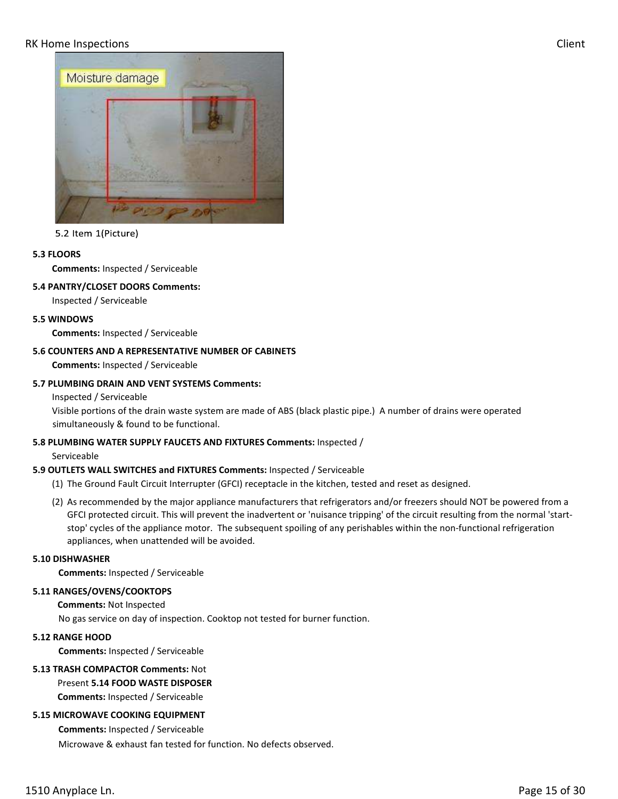

5.2 Item 1(Picture)

#### **5.3 FLOORS**

**Comments:** Inspected / Serviceable

#### **5.4 PANTRY/CLOSET DOORS Comments:**

Inspected / Serviceable

#### **5.5 WINDOWS**

**Comments:** Inspected / Serviceable

#### **5.6 COUNTERS AND A REPRESENTATIVE NUMBER OF CABINETS**

**Comments:** Inspected / Serviceable

#### **5.7 PLUMBING DRAIN AND VENT SYSTEMS Comments:**

Inspected / Serviceable

Visible portions of the drain waste system are made of ABS (black plastic pipe.) A number of drains were operated simultaneously & found to be functional.

#### **5.8 PLUMBING WATER SUPPLY FAUCETS AND FIXTURES Comments:** Inspected /

Serviceable

# **5.9 OUTLETS WALL SWITCHES and FIXTURES Comments:** Inspected / Serviceable

- (1) The Ground Fault Circuit Interrupter (GFCI) receptacle in the kitchen, tested and reset as designed.
- (2) As recommended by the major appliance manufacturers that refrigerators and/or freezers should NOT be powered from a GFCI protected circuit. This will prevent the inadvertent or 'nuisance tripping' of the circuit resulting from the normal 'startstop' cycles of the appliance motor. The subsequent spoiling of any perishables within the non-functional refrigeration appliances, when unattended will be avoided.

#### **5.10 DISHWASHER**

**Comments:** Inspected / Serviceable

#### **5.11 RANGES/OVENS/COOKTOPS**

**Comments:** Not Inspected

No gas service on day of inspection. Cooktop not tested for burner function.

# **5.12 RANGE HOOD**

**Comments:** Inspected / Serviceable

# **5.13 TRASH COMPACTOR Comments:** Not

Present **5.14 FOOD WASTE DISPOSER Comments:** Inspected / Serviceable

# **5.15 MICROWAVE COOKING EQUIPMENT**

**Comments:** Inspected / Serviceable Microwave & exhaust fan tested for function. No defects observed.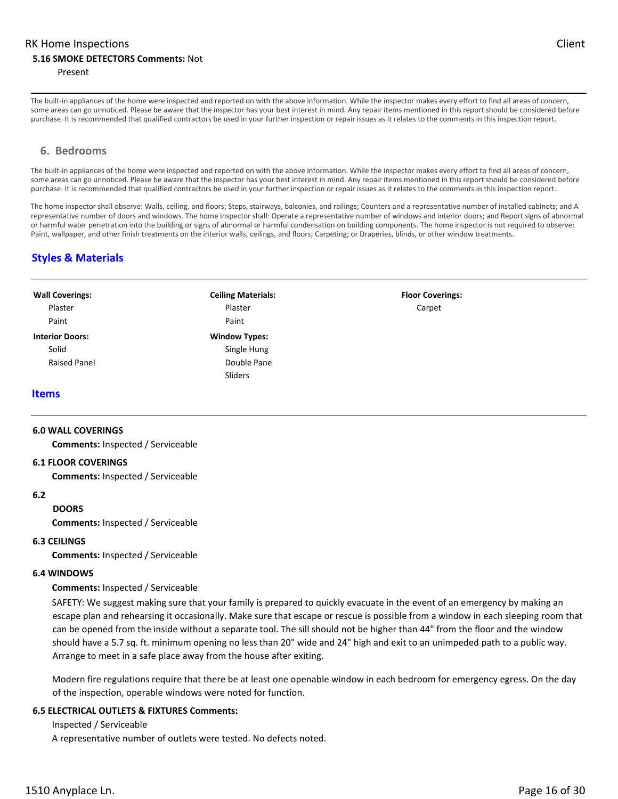#### **5.16 SMOKE DETECTORS Comments:** Not

#### Present

The built-in appliances of the home were inspected and reported on with the above information. While the inspector makes every effort to find all areas of concern, some areas can go unnoticed. Please be aware that the inspector has your best interest in mind. Any repair items mentioned in this report should be considered before purchase. It is recommended that qualified contractors be used in your further inspection or repair issues as it relates to the comments in this inspection report.

#### **6. Bedrooms**

The built-in appliances of the home were inspected and reported on with the above information. While the inspector makes every effort to find all areas of concern, some areas can go unnoticed. Please be aware that the inspector has your best interest in mind. Any repair items mentioned in this report should be considered before purchase. It is recommended that qualified contractors be used in your further inspection or repair issues as it relates to the comments in this inspection report.

The home inspector shall observe: Walls, ceiling, and floors; Steps, stairways, balconies, and railings; Counters and a representative number of installed cabinets; and A representative number of doors and windows. The home inspector shall: Operate a representative number of windows and interior doors; and Report signs of abnormal or harmful water penetration into the building or signs of abnormal or harmful condensation on building components. The home inspector is not required to observe: Paint, wallpaper, and other finish treatments on the interior walls, ceilings, and floors; Carpeting; or Draperies, blinds, or other window treatments.

# **Styles & Materials**

| <b>Wall Coverings:</b> | <b>Ceiling Materials:</b> | <b>Floor Coverings:</b> |
|------------------------|---------------------------|-------------------------|
| Plaster                | Plaster                   | Carpet                  |
| Paint                  | Paint                     |                         |
| <b>Interior Doors:</b> | <b>Window Types:</b>      |                         |
| Solid                  | Single Hung               |                         |
| <b>Raised Panel</b>    | Double Pane               |                         |
|                        | Sliders                   |                         |

#### **Items**

#### **6.0 WALL COVERINGS**

**Comments:** Inspected / Serviceable

#### **6.1 FLOOR COVERINGS**

**Comments:** Inspected / Serviceable

#### **6.2**

#### **DOORS**

**Comments:** Inspected / Serviceable

#### **6.3 CEILINGS**

**Comments:** Inspected / Serviceable

#### **6.4 WINDOWS**

#### **Comments:** Inspected / Serviceable

SAFETY: We suggest making sure that your family is prepared to quickly evacuate in the event of an emergency by making an escape plan and rehearsing it occasionally. Make sure that escape or rescue is possible from a window in each sleeping room that can be opened from the inside without a separate tool. The sill should not be higher than 44" from the floor and the window should have a 5.7 sq. ft. minimum opening no less than 20" wide and 24" high and exit to an unimpeded path to a public way. Arrange to meet in a safe place away from the house after exiting.

Modern fire regulations require that there be at least one openable window in each bedroom for emergency egress. On the day of the inspection, operable windows were noted for function.

#### **6.5 ELECTRICAL OUTLETS & FIXTURES Comments:**

Inspected / Serviceable

A representative number of outlets were tested. No defects noted.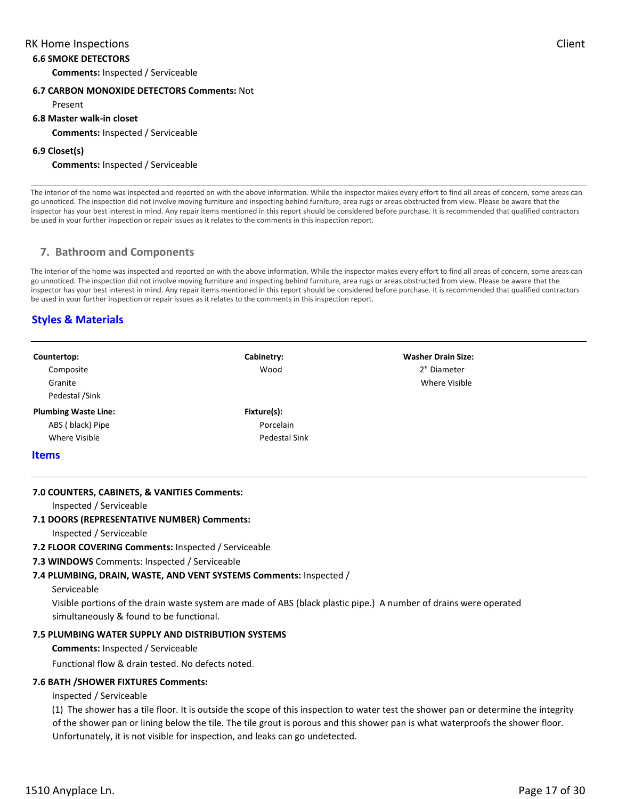#### **6.6 SMOKE DETECTORS**

**Comments:** Inspected / Serviceable

#### **6.7 CARBON MONOXIDE DETECTORS Comments:** Not

Present

#### **6.8 Master walk-in closet**

**Comments:** Inspected / Serviceable

#### **6.9 Closet(s)**

#### **Comments:** Inspected / Serviceable

The interior of the home was inspected and reported on with the above information. While the inspector makes every effort to find all areas of concern, some areas can go unnoticed. The inspection did not involve moving furniture and inspecting behind furniture, area rugs or areas obstructed from view. Please be aware that the inspector has your best interest in mind. Any repair items mentioned in this report should be considered before purchase. It is recommended that qualified contractors be used in your further inspection or repair issues as it relates to the comments in this inspection report.

# **7. Bathroom and Components**

The interior of the home was inspected and reported on with the above information. While the inspector makes every effort to find all areas of concern, some areas can go unnoticed. The inspection did not involve moving furniture and inspecting behind furniture, area rugs or areas obstructed from view. Please be aware that the inspector has your best interest in mind. Any repair items mentioned in this report should be considered before purchase. It is recommended that qualified contractors be used in your further inspection or repair issues as it relates to the comments in this inspection report.

# **Styles & Materials**

|                                                                         |                                                                                                                                                               | <b>Washer Drain Size:</b> |  |  |
|-------------------------------------------------------------------------|---------------------------------------------------------------------------------------------------------------------------------------------------------------|---------------------------|--|--|
| Countertop:<br>Composite                                                | Cabinetry:<br>Wood                                                                                                                                            | 2" Diameter               |  |  |
| Granite                                                                 |                                                                                                                                                               | <b>Where Visible</b>      |  |  |
| Pedestal /Sink                                                          |                                                                                                                                                               |                           |  |  |
|                                                                         |                                                                                                                                                               |                           |  |  |
| <b>Plumbing Waste Line:</b>                                             | Fixture(s):                                                                                                                                                   |                           |  |  |
| ABS (black) Pipe                                                        | Porcelain                                                                                                                                                     |                           |  |  |
| Where Visible                                                           | <b>Pedestal Sink</b>                                                                                                                                          |                           |  |  |
| <b>Items</b>                                                            |                                                                                                                                                               |                           |  |  |
| 7.0 COUNTERS, CABINETS, & VANITIES Comments:<br>Inspected / Serviceable |                                                                                                                                                               |                           |  |  |
| 7.1 DOORS (REPRESENTATIVE NUMBER) Comments:                             |                                                                                                                                                               |                           |  |  |
| Inspected / Serviceable                                                 |                                                                                                                                                               |                           |  |  |
| 7.2 FLOOR COVERING Comments: Inspected / Serviceable                    |                                                                                                                                                               |                           |  |  |
| 7.3 WINDOWS Comments: Inspected / Serviceable                           |                                                                                                                                                               |                           |  |  |
|                                                                         | 7.4 PLUMBING, DRAIN, WASTE, AND VENT SYSTEMS Comments: Inspected /                                                                                            |                           |  |  |
| Serviceable                                                             |                                                                                                                                                               |                           |  |  |
|                                                                         |                                                                                                                                                               |                           |  |  |
|                                                                         | Visible portions of the drain waste system are made of ABS (black plastic pipe.) A number of drains were operated<br>simultaneously & found to be functional. |                           |  |  |
|                                                                         |                                                                                                                                                               |                           |  |  |
| <b>7.5 PLUMBING WATER SUPPLY AND DISTRIBUTION SYSTEMS</b>               |                                                                                                                                                               |                           |  |  |
|                                                                         | <b>Comments:</b> Inspected / Serviceable                                                                                                                      |                           |  |  |
| Functional flow & drain tested. No defects noted.                       |                                                                                                                                                               |                           |  |  |

#### **7.6 BATH /SHOWER FIXTURES Comments:**

#### Inspected / Serviceable

(1) The shower has a tile floor. It is outside the scope of this inspection to water test the shower pan or determine the integrity of the shower pan or lining below the tile. The tile grout is porous and this shower pan is what waterproofs the shower floor. Unfortunately, it is not visible for inspection, and leaks can go undetected.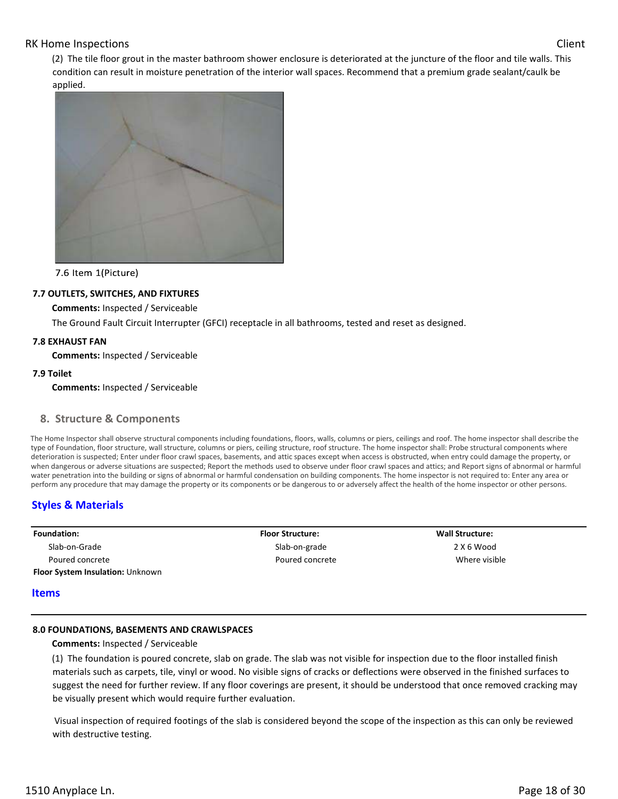(2) The tile floor grout in the master bathroom shower enclosure is deteriorated at the juncture of the floor and tile walls. This condition can result in moisture penetration of the interior wall spaces. Recommend that a premium grade sealant/caulk be applied.



7.6 Item 1(Picture)

### **7.7 OUTLETS, SWITCHES, AND FIXTURES**

**Comments:** Inspected / Serviceable

The Ground Fault Circuit Interrupter (GFCI) receptacle in all bathrooms, tested and reset as designed.

#### **7.8 EXHAUST FAN**

**Comments:** Inspected / Serviceable

#### **7.9 Toilet**

**Comments:** Inspected / Serviceable

#### **8. Structure & Components**

The Home Inspector shall observe structural components including foundations, floors, walls, columns or piers, ceilings and roof. The home inspector shall describe the type of Foundation, floor structure, wall structure, columns or piers, ceiling structure, roof structure. The home inspector shall: Probe structural components where deterioration is suspected; Enter under floor crawl spaces, basements, and attic spaces except when access is obstructed, when entry could damage the property, or when dangerous or adverse situations are suspected; Report the methods used to observe under floor crawl spaces and attics; and Report signs of abnormal or harmful water penetration into the building or signs of abnormal or harmful condensation on building components. The home inspector is not required to: Enter any area or perform any procedure that may damage the property or its components or be dangerous to or adversely affect the health of the home inspector or other persons.

# **Styles & Materials**

| <b>Floor Structure:</b> |  |
|-------------------------|--|
| Slab-on-grade           |  |
| Poured concrete         |  |
|                         |  |
|                         |  |

#### **Items**

#### **8.0 FOUNDATIONS, BASEMENTS AND CRAWLSPACES**

**Comments:** Inspected / Serviceable

(1) The foundation is poured concrete, slab on grade. The slab was not visible for inspection due to the floor installed finish materials such as carpets, tile, vinyl or wood. No visible signs of cracks or deflections were observed in the finished surfaces to suggest the need for further review. If any floor coverings are present, it should be understood that once removed cracking may be visually present which would require further evaluation.

 Visual inspection of required footings of the slab is considered beyond the scope of the inspection as this can only be reviewed with destructive testing.

**Wall Structure:**  2 X 6 Wood Where visible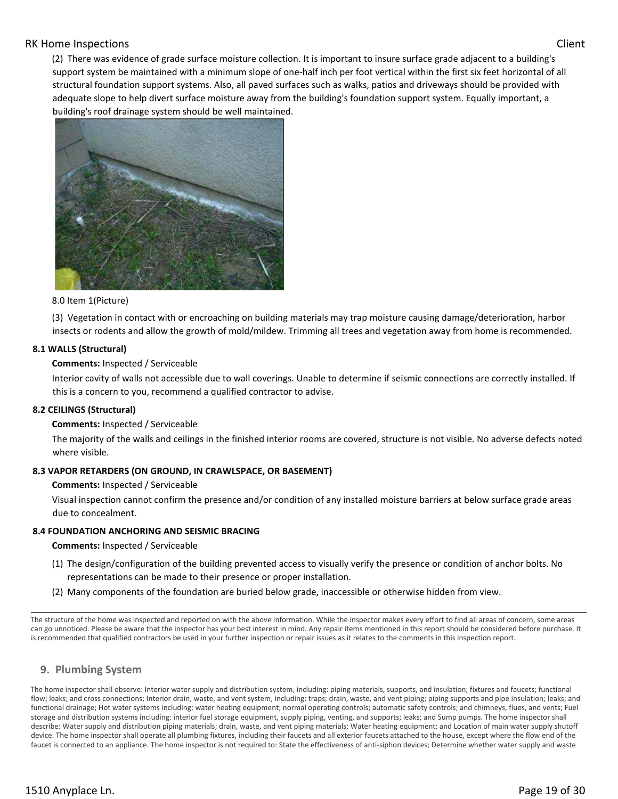(2) There was evidence of grade surface moisture collection. It is important to insure surface grade adjacent to a building's support system be maintained with a minimum slope of one-half inch per foot vertical within the first six feet horizontal of all structural foundation support systems. Also, all paved surfaces such as walks, patios and driveways should be provided with adequate slope to help divert surface moisture away from the building's foundation support system. Equally important, a building's roof drainage system should be well maintained.



#### 8.0 Item 1(Picture)

(3) Vegetation in contact with or encroaching on building materials may trap moisture causing damage/deterioration, harbor insects or rodents and allow the growth of mold/mildew. Trimming all trees and vegetation away from home is recommended.

# **8.1 WALLS (Structural)**

### **Comments:** Inspected / Serviceable

Interior cavity of walls not accessible due to wall coverings. Unable to determine if seismic connections are correctly installed. If this is a concern to you, recommend a qualified contractor to advise.

#### **8.2 CEILINGS (Structural)**

#### **Comments:** Inspected / Serviceable

The majority of the walls and ceilings in the finished interior rooms are covered, structure is not visible. No adverse defects noted where visible.

#### **8.3 VAPOR RETARDERS (ON GROUND, IN CRAWLSPACE, OR BASEMENT)**

#### **Comments:** Inspected / Serviceable

Visual inspection cannot confirm the presence and/or condition of any installed moisture barriers at below surface grade areas due to concealment.

# **8.4 FOUNDATION ANCHORING AND SEISMIC BRACING**

#### **Comments:** Inspected / Serviceable

- (1) The design/configuration of the building prevented access to visually verify the presence or condition of anchor bolts. No representations can be made to their presence or proper installation.
- (2) Many components of the foundation are buried below grade, inaccessible or otherwise hidden from view.

The structure of the home was inspected and reported on with the above information. While the inspector makes every effort to find all areas of concern, some areas can go unnoticed. Please be aware that the inspector has your best interest in mind. Any repair items mentioned in this report should be considered before purchase. It is recommended that qualified contractors be used in your further inspection or repair issues as it relates to the comments in this inspection report.

# **9. Plumbing System**

The home inspector shall observe: Interior water supply and distribution system, including: piping materials, supports, and insulation; fixtures and faucets; functional flow; leaks; and cross connections; Interior drain, waste, and vent system, including: traps; drain, waste, and vent piping; piping supports and pipe insulation; leaks; and functional drainage; Hot water systems including: water heating equipment; normal operating controls; automatic safety controls; and chimneys, flues, and vents; Fuel storage and distribution systems including: interior fuel storage equipment, supply piping, venting, and supports; leaks; and Sump pumps. The home inspector shall describe: Water supply and distribution piping materials; drain, waste, and vent piping materials; Water heating equipment; and Location of main water supply shutoff device. The home inspector shall operate all plumbing fixtures, including their faucets and all exterior faucets attached to the house, except where the flow end of the faucet is connected to an appliance. The home inspector is not required to: State the effectiveness of anti-siphon devices; Determine whether water supply and waste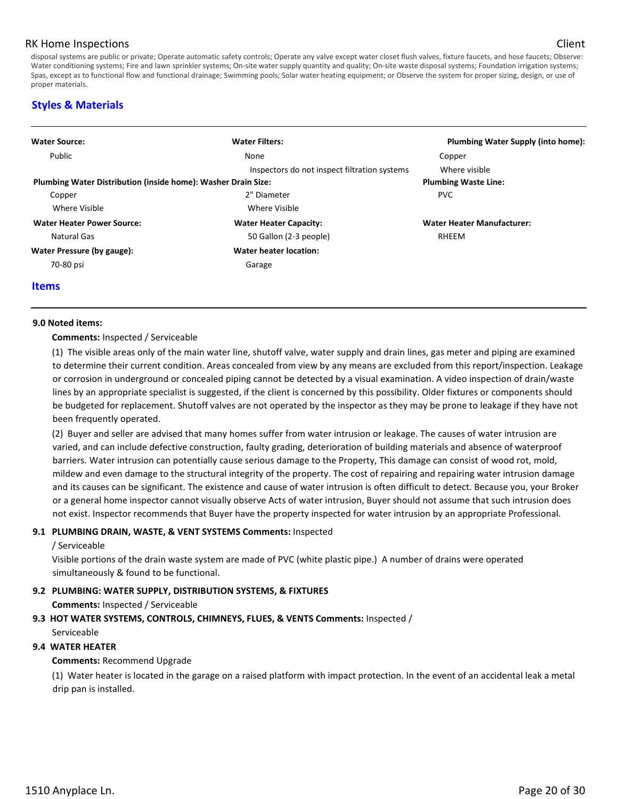disposal systems are public or private; Operate automatic safety controls; Operate any valve except water closet flush valves, fixture faucets, and hose faucets; Observe: Water conditioning systems; Fire and lawn sprinkler systems; On-site water supply quantity and quality; On-site waste disposal systems; Foundation irrigation systems; Spas, except as to functional flow and functional drainage; Swimming pools; Solar water heating equipment; or Observe the system for proper sizing, design, or use of proper materials.

# **Styles & Materials**

| <b>Water Filters:</b>                                         | Plumbing Water Supply (into home): |
|---------------------------------------------------------------|------------------------------------|
| None                                                          | Copper                             |
| Inspectors do not inspect filtration systems                  | Where visible                      |
| Plumbing Water Distribution (inside home): Washer Drain Size: | <b>Plumbing Waste Line:</b>        |
| 2" Diameter                                                   | <b>PVC</b>                         |
| Where Visible                                                 |                                    |
| <b>Water Heater Capacity:</b>                                 | <b>Water Heater Manufacturer:</b>  |
| 50 Gallon (2-3 people)                                        | RHEEM                              |
| Water heater location:                                        |                                    |
| Garage                                                        |                                    |
|                                                               |                                    |

#### **Items**

#### **9.0 Noted items:**

#### **Comments:** Inspected / Serviceable

(1) The visible areas only of the main water line, shutoff valve, water supply and drain lines, gas meter and piping are examined to determine their current condition. Areas concealed from view by any means are excluded from this report/inspection. Leakage or corrosion in underground or concealed piping cannot be detected by a visual examination. A video inspection of drain/waste lines by an appropriate specialist is suggested, if the client is concerned by this possibility. Older fixtures or components should be budgeted for replacement. Shutoff valves are not operated by the inspector as they may be prone to leakage if they have not been frequently operated.

(2) Buyer and seller are advised that many homes suffer from water intrusion or leakage. The causes of water intrusion are varied, and can include defective construction, faulty grading, deterioration of building materials and absence of waterproof barriers. Water intrusion can potentially cause serious damage to the Property, This damage can consist of wood rot, mold, mildew and even damage to the structural integrity of the property. The cost of repairing and repairing water intrusion damage and its causes can be significant. The existence and cause of water intrusion is often difficult to detect. Because you, your Broker or a general home inspector cannot visually observe Acts of water intrusion, Buyer should not assume that such intrusion does not exist. Inspector recommends that Buyer have the property inspected for water intrusion by an appropriate Professional.

#### **9.1 PLUMBING DRAIN, WASTE, & VENT SYSTEMS Comments:** Inspected

#### / Serviceable

Visible portions of the drain waste system are made of PVC (white plastic pipe.) A number of drains were operated simultaneously & found to be functional.

#### **9.2 PLUMBING: WATER SUPPLY, DISTRIBUTION SYSTEMS, & FIXTURES**

**Comments:** Inspected / Serviceable

**9.3 HOT WATER SYSTEMS, CONTROLS, CHIMNEYS, FLUES, & VENTS Comments:** Inspected / Serviceable

#### **9.4 WATER HEATER**

#### **Comments:** Recommend Upgrade

(1) Water heater is located in the garage on a raised platform with impact protection. In the event of an accidental leak a metal drip pan is installed.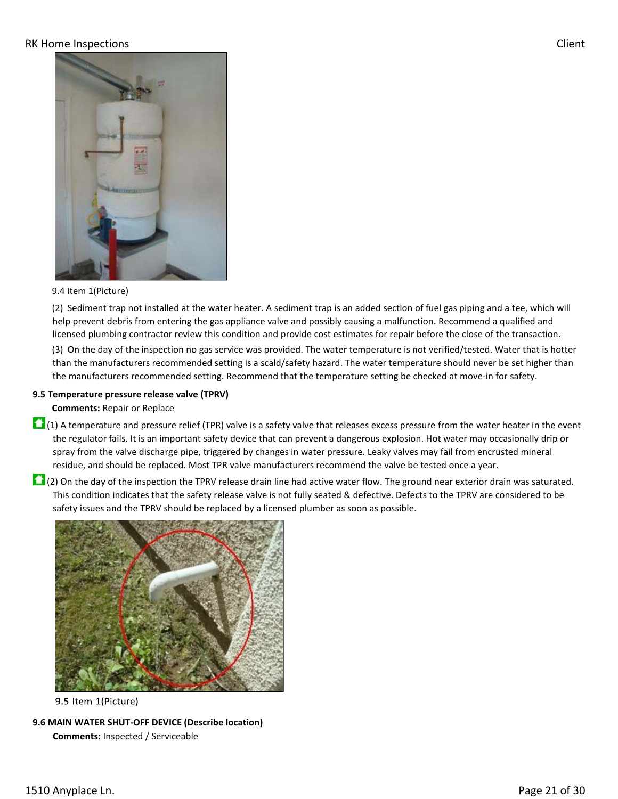

### 9.4 Item 1(Picture)

(2) Sediment trap not installed at the water heater. A sediment trap is an added section of fuel gas piping and a tee, which will help prevent debris from entering the gas appliance valve and possibly causing a malfunction. Recommend a qualified and licensed plumbing contractor review this condition and provide cost estimates for repair before the close of the transaction.

(3) On the day of the inspection no gas service was provided. The water temperature is not verified/tested. Water that is hotter than the manufacturers recommended setting is a scald/safety hazard. The water temperature should never be set higher than the manufacturers recommended setting. Recommend that the temperature setting be checked at move-in for safety.

#### **9.5 Temperature pressure release valve (TPRV)**

#### **Comments:** Repair or Replace

- $\Box$  (1) A temperature and pressure relief (TPR) valve is a safety valve that releases excess pressure from the water heater in the event the regulator fails. It is an important safety device that can prevent a dangerous explosion. Hot water may occasionally drip or spray from the valve discharge pipe, triggered by changes in water pressure. Leaky valves may fail from encrusted mineral residue, and should be replaced. Most TPR valve manufacturers recommend the valve be tested once a year.
- $\Box$  (2) On the day of the inspection the TPRV release drain line had active water flow. The ground near exterior drain was saturated. This condition indicates that the safety release valve is not fully seated & defective. Defects to the TPRV are considered to be safety issues and the TPRV should be replaced by a licensed plumber as soon as possible.



9.5 Item 1(Picture)

**9.6 MAIN WATER SHUT-OFF DEVICE (Describe location) Comments:** Inspected / Serviceable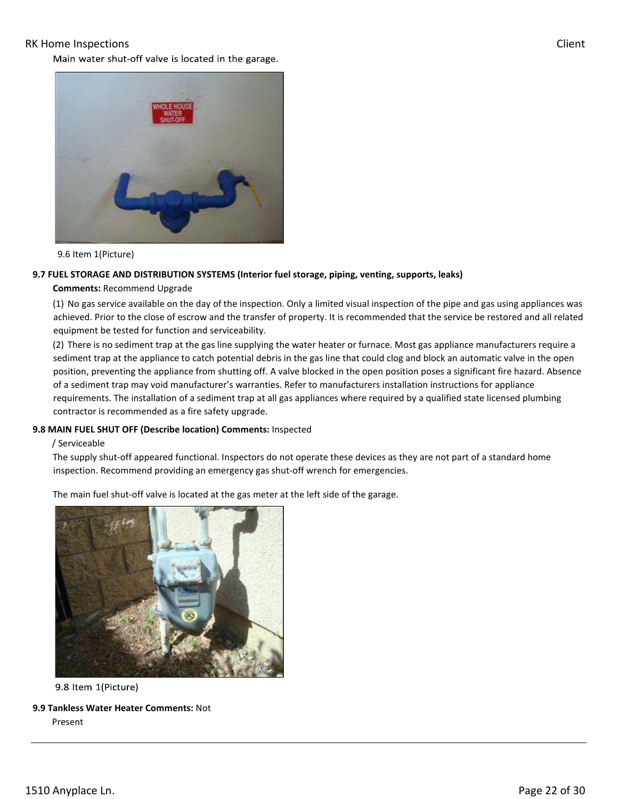Main water shut-off valve is located in the garage.



9.6 Item 1(Picture)

#### **9.7 FUEL STORAGE AND DISTRIBUTION SYSTEMS (Interior fuel storage, piping, venting, supports, leaks)**

#### **Comments:** Recommend Upgrade

(1) No gas service available on the day of the inspection. Only a limited visual inspection of the pipe and gas using appliances was achieved. Prior to the close of escrow and the transfer of property. It is recommended that the service be restored and all related equipment be tested for function and serviceability.

(2) There is no sediment trap at the gas line supplying the water heater or furnace. Most gas appliance manufacturers require a sediment trap at the appliance to catch potential debris in the gas line that could clog and block an automatic valve in the open position, preventing the appliance from shutting off. A valve blocked in the open position poses a significant fire hazard. Absence of a sediment trap may void manufacturer's warranties. Refer to manufacturers installation instructions for appliance requirements. The installation of a sediment trap at all gas appliances where required by a qualified state licensed plumbing contractor is recommended as a fire safety upgrade.

#### **9.8 MAIN FUEL SHUT OFF (Describe location) Comments:** Inspected

#### / Serviceable

The supply shut-off appeared functional. Inspectors do not operate these devices as they are not part of a standard home inspection. Recommend providing an emergency gas shut-off wrench for emergencies.

The main fuel shut-off valve is located at the gas meter at the left side of the garage.



9.8 Item 1(Picture)

**9.9 Tankless Water Heater Comments:** Not Present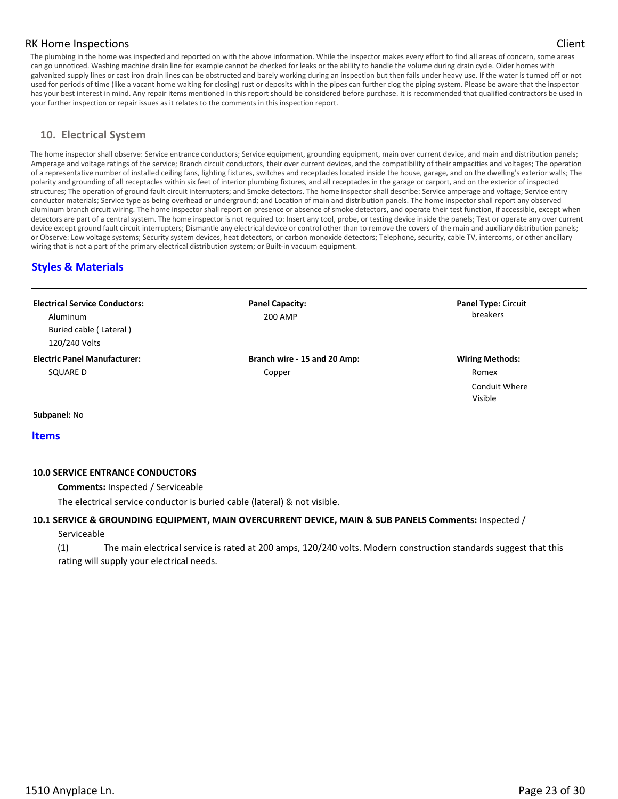The plumbing in the home was inspected and reported on with the above information. While the inspector makes every effort to find all areas of concern, some areas can go unnoticed. Washing machine drain line for example cannot be checked for leaks or the ability to handle the volume during drain cycle. Older homes with galvanized supply lines or cast iron drain lines can be obstructed and barely working during an inspection but then fails under heavy use. If the water is turned off or not used for periods of time (like a vacant home waiting for closing) rust or deposits within the pipes can further clog the piping system. Please be aware that the inspector has your best interest in mind. Any repair items mentioned in this report should be considered before purchase. It is recommended that qualified contractors be used in your further inspection or repair issues as it relates to the comments in this inspection report.

# **10. Electrical System**

The home inspector shall observe: Service entrance conductors; Service equipment, grounding equipment, main over current device, and main and distribution panels; Amperage and voltage ratings of the service; Branch circuit conductors, their over current devices, and the compatibility of their ampacities and voltages; The operation of a representative number of installed ceiling fans, lighting fixtures, switches and receptacles located inside the house, garage, and on the dwelling's exterior walls; The polarity and grounding of all receptacles within six feet of interior plumbing fixtures, and all receptacles in the garage or carport, and on the exterior of inspected structures; The operation of ground fault circuit interrupters; and Smoke detectors. The home inspector shall describe: Service amperage and voltage; Service entry conductor materials; Service type as being overhead or underground; and Location of main and distribution panels. The home inspector shall report any observed aluminum branch circuit wiring. The home inspector shall report on presence or absence of smoke detectors, and operate their test function, if accessible, except when detectors are part of a central system. The home inspector is not required to: Insert any tool, probe, or testing device inside the panels; Test or operate any over current device except ground fault circuit interrupters; Dismantle any electrical device or control other than to remove the covers of the main and auxiliary distribution panels; or Observe: Low voltage systems; Security system devices, heat detectors, or carbon monoxide detectors; Telephone, security, cable TV, intercoms, or other ancillary wiring that is not a part of the primary electrical distribution system; or Built-in vacuum equipment.

# **Styles & Materials**

#### **Electrical Service Conductors:**  Aluminum Buried cable ( Lateral ) 120/240 Volts **Panel Capacity:**  200 AMP **Panel Type:** Circuit breakers **Electric Panel Manufacturer:**  SQUARE D **Branch wire - 15 and 20 Amp:**  Copper **Wiring Methods:**  Romex Conduit Where Visible

**Subpanel:** No

**Items** 

#### **10.0 SERVICE ENTRANCE CONDUCTORS**

**Comments:** Inspected / Serviceable

The electrical service conductor is buried cable (lateral) & not visible.

#### **10.1 SERVICE & GROUNDING EQUIPMENT, MAIN OVERCURRENT DEVICE, MAIN & SUB PANELS Comments:** Inspected /

Serviceable

(1) The main electrical service is rated at 200 amps, 120/240 volts. Modern construction standards suggest that this rating will supply your electrical needs.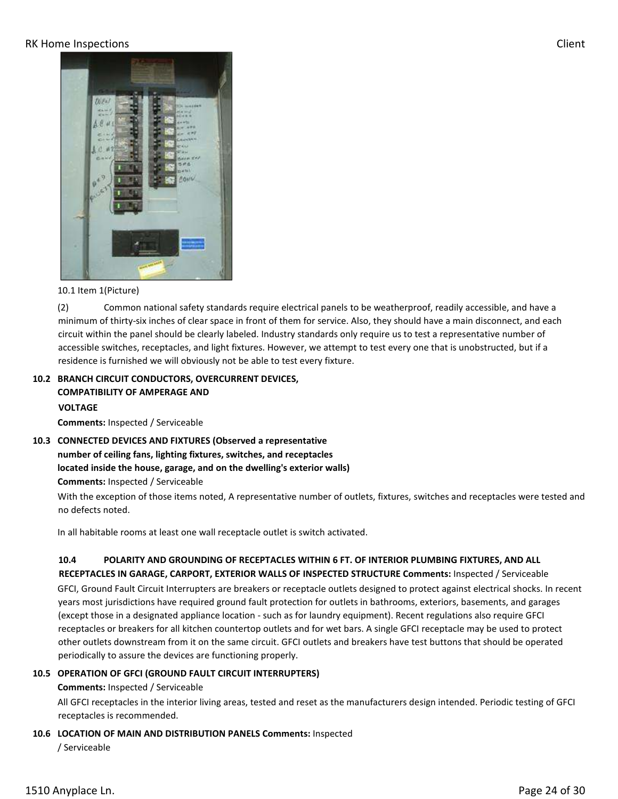

#### 10.1 Item 1(Picture)

(2) Common national safety standards require electrical panels to be weatherproof, readily accessible, and have a minimum of thirty-six inches of clear space in front of them for service. Also, they should have a main disconnect, and each circuit within the panel should be clearly labeled. Industry standards only require us to test a representative number of accessible switches, receptacles, and light fixtures. However, we attempt to test every one that is unobstructed, but if a residence is furnished we will obviously not be able to test every fixture.

# **10.2 BRANCH CIRCUIT CONDUCTORS, OVERCURRENT DEVICES, COMPATIBILITY OF AMPERAGE AND VOLTAGE**

**Comments:** Inspected / Serviceable

**10.3 CONNECTED DEVICES AND FIXTURES (Observed a representative number of ceiling fans, lighting fixtures, switches, and receptacles located inside the house, garage, and on the dwelling's exterior walls) Comments:** Inspected / Serviceable

With the exception of those items noted, A representative number of outlets, fixtures, switches and receptacles were tested and no defects noted.

In all habitable rooms at least one wall receptacle outlet is switch activated.

# **10.4 POLARITY AND GROUNDING OF RECEPTACLES WITHIN 6 FT. OF INTERIOR PLUMBING FIXTURES, AND ALL RECEPTACLES IN GARAGE, CARPORT, EXTERIOR WALLS OF INSPECTED STRUCTURE Comments:** Inspected / Serviceable

GFCI, Ground Fault Circuit Interrupters are breakers or receptacle outlets designed to protect against electrical shocks. In recent years most jurisdictions have required ground fault protection for outlets in bathrooms, exteriors, basements, and garages (except those in a designated appliance location - such as for laundry equipment). Recent regulations also require GFCI receptacles or breakers for all kitchen countertop outlets and for wet bars. A single GFCI receptacle may be used to protect other outlets downstream from it on the same circuit. GFCI outlets and breakers have test buttons that should be operated periodically to assure the devices are functioning properly.

#### **10.5 OPERATION OF GFCI (GROUND FAULT CIRCUIT INTERRUPTERS)**

#### **Comments:** Inspected / Serviceable

All GFCI receptacles in the interior living areas, tested and reset as the manufacturers design intended. Periodic testing of GFCI receptacles is recommended.

#### **10.6 LOCATION OF MAIN AND DISTRIBUTION PANELS Comments:** Inspected

/ Serviceable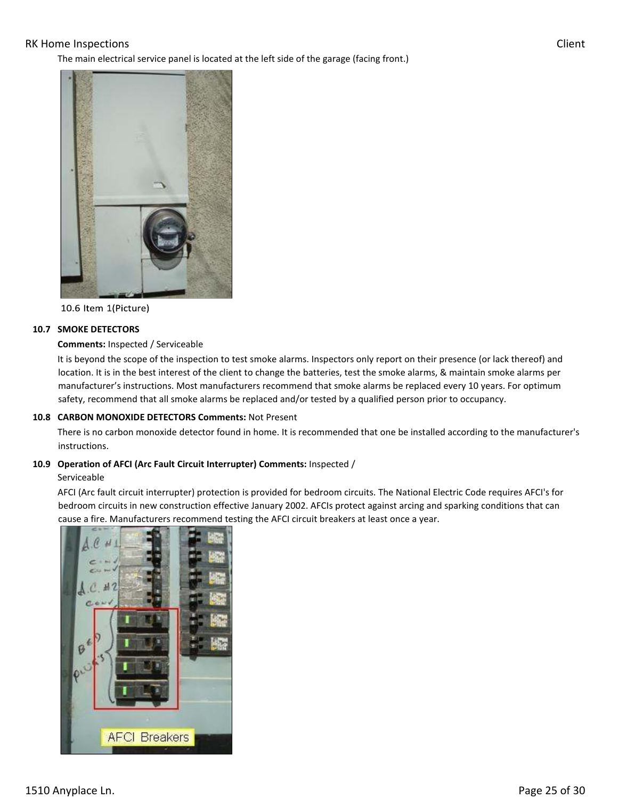The main electrical service panel is located at the left side of the garage (facing front.)





10.6 Item 1(Picture)

#### **10.7 SMOKE DETECTORS**

#### **Comments:** Inspected / Serviceable

It is beyond the scope of the inspection to test smoke alarms. Inspectors only report on their presence (or lack thereof) and location. It is in the best interest of the client to change the batteries, test the smoke alarms, & maintain smoke alarms per manufacturer's instructions. Most manufacturers recommend that smoke alarms be replaced every 10 years. For optimum safety, recommend that all smoke alarms be replaced and/or tested by a qualified person prior to occupancy.

#### **10.8 CARBON MONOXIDE DETECTORS Comments:** Not Present

There is no carbon monoxide detector found in home. It is recommended that one be installed according to the manufacturer's instructions.

#### **10.9 Operation of AFCI (Arc Fault Circuit Interrupter) Comments:** Inspected /

#### Serviceable

AFCI (Arc fault circuit interrupter) protection is provided for bedroom circuits. The National Electric Code requires AFCI's for bedroom circuits in new construction effective January 2002. AFCIs protect against arcing and sparking conditions that can cause a fire. Manufacturers recommend testing the AFCI circuit breakers at least once a year.

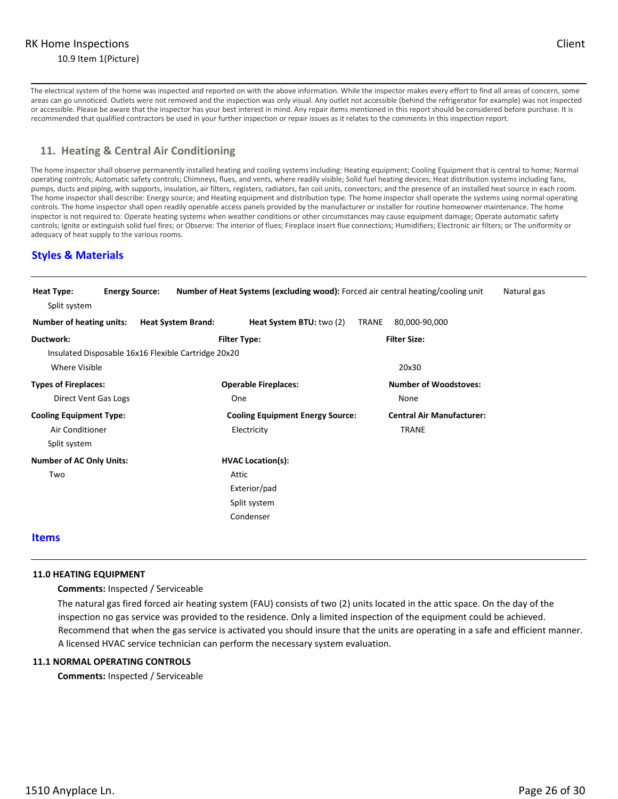The electrical system of the home was inspected and reported on with the above information. While the inspector makes every effort to find all areas of concern, some areas can go unnoticed. Outlets were not removed and the inspection was only visual. Any outlet not accessible (behind the refrigerator for example) was not inspected or accessible. Please be aware that the inspector has your best interest in mind. Any repair items mentioned in this report should be considered before purchase. It is recommended that qualified contractors be used in your further inspection or repair issues as it relates to the comments in this inspection report.

# **11. Heating & Central Air Conditioning**

The home inspector shall observe permanently installed heating and cooling systems including: Heating equipment; Cooling Equipment that is central to home; Normal operating controls; Automatic safety controls; Chimneys, flues, and vents, where readily visible; Solid fuel heating devices; Heat distribution systems including fans, pumps, ducts and piping, with supports, insulation, air filters, registers, radiators, fan coil units, convectors; and the presence of an installed heat source in each room. The home inspector shall describe: Energy source; and Heating equipment and distribution type. The home inspector shall operate the systems using normal operating controls. The home inspector shall open readily openable access panels provided by the manufacturer or installer for routine homeowner maintenance. The home inspector is not required to: Operate heating systems when weather conditions or other circumstances may cause equipment damage; Operate automatic safety controls; Ignite or extinguish solid fuel fires; or Observe: The interior of flues; Fireplace insert flue connections; Humidifiers; Electronic air filters; or The uniformity or adequacy of heat supply to the various rooms.

# **Styles & Materials**

| Heat Type:                      | <b>Energy Source:</b> |                                                     |                                         | Number of Heat Systems (excluding wood): Forced air central heating/cooling unit | Natural gas |
|---------------------------------|-----------------------|-----------------------------------------------------|-----------------------------------------|----------------------------------------------------------------------------------|-------------|
| Split system                    |                       |                                                     |                                         |                                                                                  |             |
| Number of heating units:        |                       | <b>Heat System Brand:</b>                           | Heat System BTU: two (2)                | 80,000-90,000<br>TRANE                                                           |             |
| Ductwork:                       |                       |                                                     | <b>Filter Type:</b>                     | <b>Filter Size:</b>                                                              |             |
|                                 |                       | Insulated Disposable 16x16 Flexible Cartridge 20x20 |                                         |                                                                                  |             |
| Where Visible                   |                       |                                                     |                                         | 20x30                                                                            |             |
| <b>Types of Fireplaces:</b>     |                       |                                                     | <b>Operable Fireplaces:</b>             | <b>Number of Woodstoves:</b>                                                     |             |
| Direct Vent Gas Logs            |                       |                                                     | One                                     | None                                                                             |             |
| <b>Cooling Equipment Type:</b>  |                       |                                                     | <b>Cooling Equipment Energy Source:</b> | <b>Central Air Manufacturer:</b>                                                 |             |
| Air Conditioner                 |                       |                                                     | Electricity                             | <b>TRANE</b>                                                                     |             |
| Split system                    |                       |                                                     |                                         |                                                                                  |             |
| <b>Number of AC Only Units:</b> |                       |                                                     | <b>HVAC Location(s):</b>                |                                                                                  |             |
| Two                             |                       |                                                     | Attic                                   |                                                                                  |             |
|                                 |                       |                                                     | Exterior/pad                            |                                                                                  |             |
|                                 |                       |                                                     | Split system                            |                                                                                  |             |
|                                 |                       |                                                     | Condenser                               |                                                                                  |             |
|                                 |                       |                                                     |                                         |                                                                                  |             |

# **Items**

#### **11.0 HEATING EQUIPMENT**

**Comments:** Inspected / Serviceable

The natural gas fired forced air heating system (FAU) consists of two (2) units located in the attic space. On the day of the inspection no gas service was provided to the residence. Only a limited inspection of the equipment could be achieved. Recommend that when the gas service is activated you should insure that the units are operating in a safe and efficient manner. A licensed HVAC service technician can perform the necessary system evaluation.

#### **11.1 NORMAL OPERATING CONTROLS**

**Comments:** Inspected / Serviceable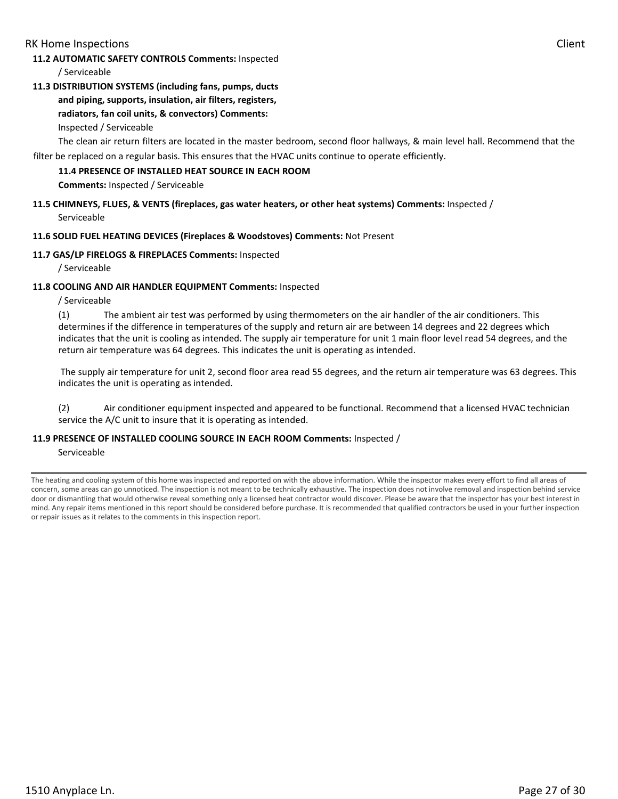#### **11.2 AUTOMATIC SAFETY CONTROLS Comments:** Inspected

/ Serviceable

**11.3 DISTRIBUTION SYSTEMS (including fans, pumps, ducts** 

# **and piping, supports, insulation, air filters, registers,**

# **radiators, fan coil units, & convectors) Comments:**

Inspected / Serviceable

The clean air return filters are located in the master bedroom, second floor hallways, & main level hall. Recommend that the

filter be replaced on a regular basis. This ensures that the HVAC units continue to operate efficiently.

#### **11.4 PRESENCE OF INSTALLED HEAT SOURCE IN EACH ROOM**

**Comments:** Inspected / Serviceable

# **11.5 CHIMNEYS, FLUES, & VENTS (fireplaces, gas water heaters, or other heat systems) Comments:** Inspected /

Serviceable

#### **11.6 SOLID FUEL HEATING DEVICES (Fireplaces & Woodstoves) Comments:** Not Present

#### **11.7 GAS/LP FIRELOGS & FIREPLACES Comments:** Inspected

/ Serviceable

#### **11.8 COOLING AND AIR HANDLER EQUIPMENT Comments:** Inspected

/ Serviceable

(1) The ambient air test was performed by using thermometers on the air handler of the air conditioners. This determines if the difference in temperatures of the supply and return air are between 14 degrees and 22 degrees which indicates that the unit is cooling as intended. The supply air temperature for unit 1 main floor level read 54 degrees, and the return air temperature was 64 degrees. This indicates the unit is operating as intended.

 The supply air temperature for unit 2, second floor area read 55 degrees, and the return air temperature was 63 degrees. This indicates the unit is operating as intended.

(2) Air conditioner equipment inspected and appeared to be functional. Recommend that a licensed HVAC technician service the A/C unit to insure that it is operating as intended.

#### **11.9 PRESENCE OF INSTALLED COOLING SOURCE IN EACH ROOM Comments:** Inspected /

#### Serviceable

The heating and cooling system of this home was inspected and reported on with the above information. While the inspector makes every effort to find all areas of concern, some areas can go unnoticed. The inspection is not meant to be technically exhaustive. The inspection does not involve removal and inspection behind service door or dismantling that would otherwise reveal something only a licensed heat contractor would discover. Please be aware that the inspector has your best interest in mind. Any repair items mentioned in this report should be considered before purchase. It is recommended that qualified contractors be used in your further inspection or repair issues as it relates to the comments in this inspection report.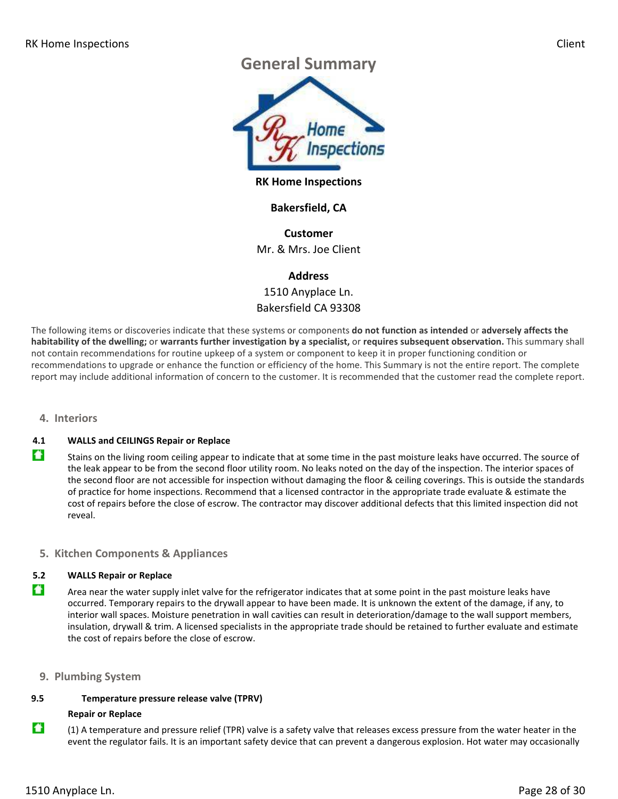# **General Summary**



**RK Home Inspections**

# **Bakersfield, CA**

**Customer** Mr. & Mrs. Joe Client

# **Address**

1510 Anyplace Ln. Bakersfield CA 93308

The following items or discoveries indicate that these systems or components **do not function as intended** or **adversely affects the habitability of the dwelling;** or **warrants further investigation by a specialist,** or **requires subsequent observation.** This summary shall not contain recommendations for routine upkeep of a system or component to keep it in proper functioning condition or recommendations to upgrade or enhance the function or efficiency of the home. This Summary is not the entire report. The complete report may include additional information of concern to the customer. It is recommended that the customer read the complete report.

#### **4. Interiors**

#### **4.1 WALLS and CEILINGS Repair or Replace**

Stains on the living room ceiling appear to indicate that at some time in the past moisture leaks have occurred. The source of the leak appear to be from the second floor utility room. No leaks noted on the day of the inspection. The interior spaces of the second floor are not accessible for inspection without damaging the floor & ceiling coverings. This is outside the standards of practice for home inspections. Recommend that a licensed contractor in the appropriate trade evaluate & estimate the cost of repairs before the close of escrow. The contractor may discover additional defects that this limited inspection did not reveal.

# **5. Kitchen Components & Appliances**

#### **5.2 WALLS Repair or Replace**

Area near the water supply inlet valve for the refrigerator indicates that at some point in the past moisture leaks have occurred. Temporary repairs to the drywall appear to have been made. It is unknown the extent of the damage, if any, to interior wall spaces. Moisture penetration in wall cavities can result in deterioration/damage to the wall support members, insulation, drywall & trim. A licensed specialists in the appropriate trade should be retained to further evaluate and estimate the cost of repairs before the close of escrow.

#### **9. Plumbing System**

#### **9.5 Temperature pressure release valve (TPRV)**

#### **Repair or Replace**

 $\ddot{\bullet}$  (1) A temperature and pressure relief (TPR) valve is a safety valve that releases excess pressure from the water heater in the event the regulator fails. It is an important safety device that can prevent a dangerous explosion. Hot water may occasionally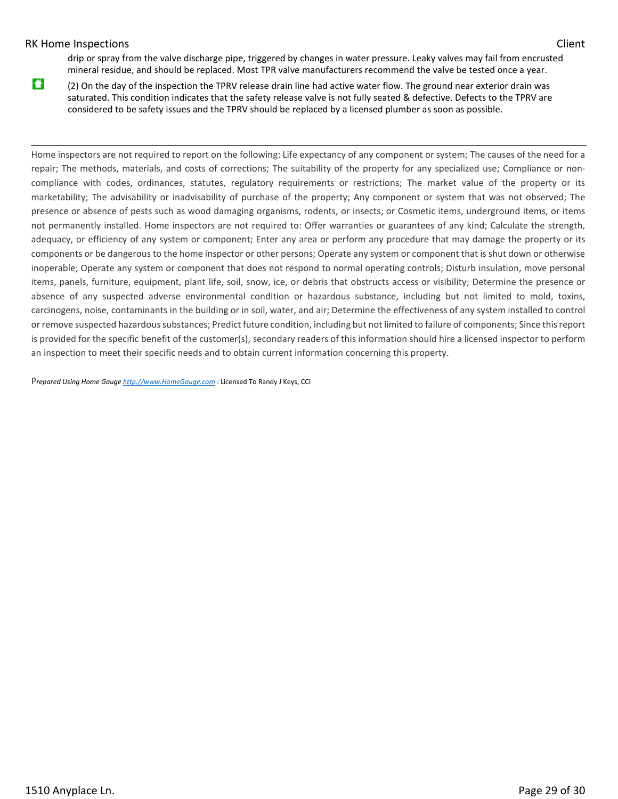drip or spray from the valve discharge pipe, triggered by changes in water pressure. Leaky valves may fail from encrusted mineral residue, and should be replaced. Most TPR valve manufacturers recommend the valve be tested once a year.

(2) On the day of the inspection the TPRV release drain line had active water flow. The ground near exterior drain was saturated. This condition indicates that the safety release valve is not fully seated & defective. Defects to the TPRV are considered to be safety issues and the TPRV should be replaced by a licensed plumber as soon as possible.

Home inspectors are not required to report on the following: Life expectancy of any component or system; The causes of the need for a repair; The methods, materials, and costs of corrections; The suitability of the property for any specialized use; Compliance or noncompliance with codes, ordinances, statutes, regulatory requirements or restrictions; The market value of the property or its marketability; The advisability or inadvisability of purchase of the property; Any component or system that was not observed; The presence or absence of pests such as wood damaging organisms, rodents, or insects; or Cosmetic items, underground items, or items not permanently installed. Home inspectors are not required to: Offer warranties or guarantees of any kind; Calculate the strength, adequacy, or efficiency of any system or component; Enter any area or perform any procedure that may damage the property or its components or be dangerous to the home inspector or other persons; Operate any system or component that is shut down or otherwise inoperable; Operate any system or component that does not respond to normal operating controls; Disturb insulation, move personal items, panels, furniture, equipment, plant life, soil, snow, ice, or debris that obstructs access or visibility; Determine the presence or absence of any suspected adverse environmental condition or hazardous substance, including but not limited to mold, toxins, carcinogens, noise, contaminants in the building or in soil, water, and air; Determine the effectiveness of any system installed to control or remove suspected hazardous substances; Predict future condition, including but not limited to failure of components; Since this report is provided for the specific benefit of the customer(s), secondary readers of this information should hire a licensed inspector to perform an inspection to meet their specific needs and to obtain current information concerning this property.

P*repared Using Home Gauge http://www.HomeGauge.com* : Licensed To Randy J Keys, CCI